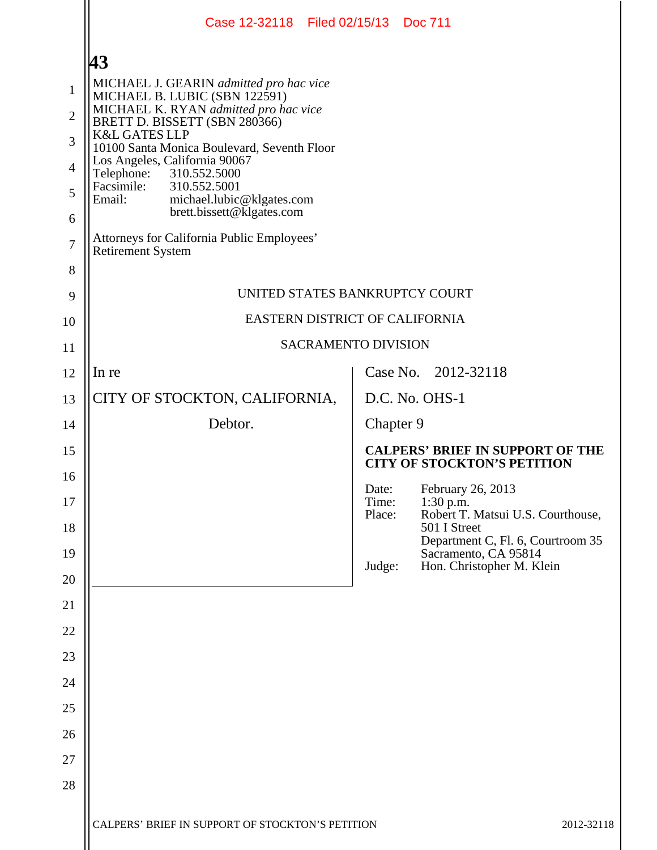|                     | Case 12-32118 Filed 02/15/13 Doc 711                                                               |                |                                                                               |
|---------------------|----------------------------------------------------------------------------------------------------|----------------|-------------------------------------------------------------------------------|
|                     | 43                                                                                                 |                |                                                                               |
| $\mathbf{1}$        | MICHAEL J. GEARIN admitted pro hac vice<br>MICHAEL B. LUBIC (SBN 122591)                           |                |                                                                               |
| $\overline{2}$      | MICHAEL K. RYAN admitted pro hac vice<br>BRETT D. BISSETT (SBN 280366)<br><b>K&amp;L GATES LLP</b> |                |                                                                               |
| 3<br>$\overline{4}$ | 10100 Santa Monica Boulevard, Seventh Floor<br>Los Angeles, California 90067                       |                |                                                                               |
| 5                   | 310.552.5000<br>Telephone:<br>Facsimile:<br>310.552.5001                                           |                |                                                                               |
| 6                   | Email:<br>michael.lubic@klgates.com<br>brett.bissett@klgates.com                                   |                |                                                                               |
| $\overline{7}$      | Attorneys for California Public Employees'<br><b>Retirement System</b>                             |                |                                                                               |
| 8                   |                                                                                                    |                |                                                                               |
| 9                   | UNITED STATES BANKRUPTCY COURT                                                                     |                |                                                                               |
| 10                  | EASTERN DISTRICT OF CALIFORNIA                                                                     |                |                                                                               |
| 11                  | <b>SACRAMENTO DIVISION</b>                                                                         |                |                                                                               |
| 12                  | In re                                                                                              |                | Case No. 2012-32118                                                           |
| 13                  | CITY OF STOCKTON, CALIFORNIA,                                                                      |                | D.C. No. OHS-1                                                                |
| 14                  | Debtor.                                                                                            | Chapter 9      |                                                                               |
| 15                  |                                                                                                    |                | <b>CALPERS' BRIEF IN SUPPORT OF THE</b><br><b>CITY OF STOCKTON'S PETITION</b> |
| 16<br>17            |                                                                                                    | Date:<br>Time: | February 26, 2013<br>$1:30$ p.m.                                              |
| 18                  |                                                                                                    | Place:         | Robert T. Matsui U.S. Courthouse,<br>501 I Street                             |
| 19                  |                                                                                                    |                | Department C, Fl. 6, Courtroom 35<br>Sacramento, CA 95814                     |
| 20                  |                                                                                                    | Judge:         | Hon. Christopher M. Klein                                                     |
| 21                  |                                                                                                    |                |                                                                               |
| 22                  |                                                                                                    |                |                                                                               |
| 23                  |                                                                                                    |                |                                                                               |
| 24                  |                                                                                                    |                |                                                                               |
| 25                  |                                                                                                    |                |                                                                               |
| 26                  |                                                                                                    |                |                                                                               |
| 27                  |                                                                                                    |                |                                                                               |
| 28                  |                                                                                                    |                |                                                                               |
|                     | CALPERS' BRIEF IN SUPPORT OF STOCKTON'S PETITION                                                   |                | 2012-32118                                                                    |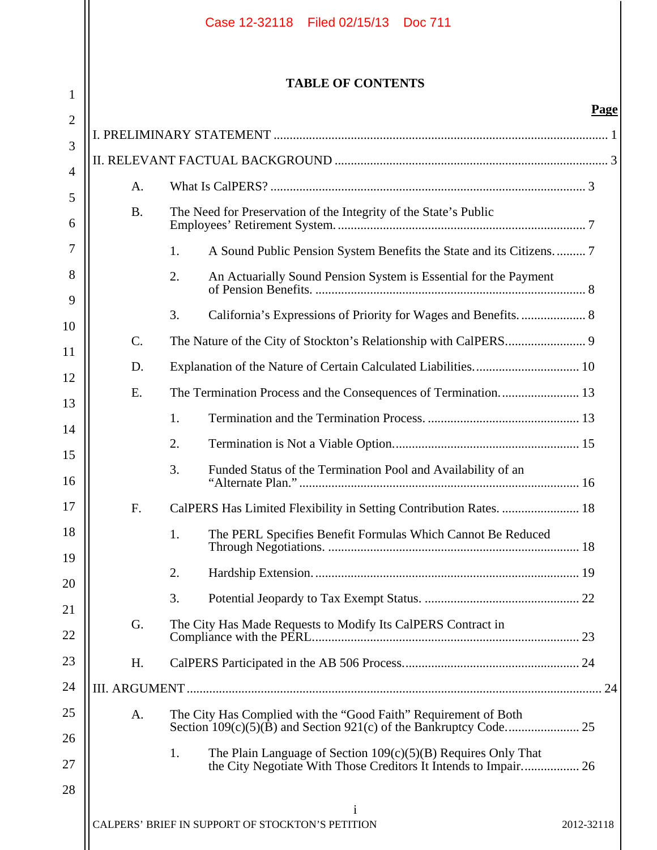|                |           | Case 12-32118 Filed 02/15/13 Doc 711                                                                                                     |             |
|----------------|-----------|------------------------------------------------------------------------------------------------------------------------------------------|-------------|
| 1              |           | <b>TABLE OF CONTENTS</b>                                                                                                                 |             |
| $\overline{2}$ |           |                                                                                                                                          | <b>Page</b> |
| 3              |           |                                                                                                                                          |             |
| $\overline{4}$ |           |                                                                                                                                          |             |
| 5              | A.        |                                                                                                                                          |             |
| 6              | <b>B.</b> | The Need for Preservation of the Integrity of the State's Public                                                                         |             |
| 7              |           | A Sound Public Pension System Benefits the State and its Citizens 7<br>1.                                                                |             |
| 8              |           | An Actuarially Sound Pension System is Essential for the Payment<br>2.                                                                   |             |
| 9              |           | 3.<br>California's Expressions of Priority for Wages and Benefits 8                                                                      |             |
| 10             | C.        |                                                                                                                                          |             |
| 11             | D.        |                                                                                                                                          |             |
| 12             | E.        |                                                                                                                                          |             |
| 13             |           | 1.                                                                                                                                       |             |
| 14             |           | 2.                                                                                                                                       |             |
| 15<br>16       |           | Funded Status of the Termination Pool and Availability of an<br>3.                                                                       |             |
| 17             | F.        | CalPERS Has Limited Flexibility in Setting Contribution Rates.  18                                                                       |             |
| 18             |           | 1.<br>The PERL Specifies Benefit Formulas Which Cannot Be Reduced                                                                        |             |
| 19             |           | 2.                                                                                                                                       |             |
| 20             |           | 3.                                                                                                                                       |             |
| 21<br>22       | G.        | The City Has Made Requests to Modify Its CalPERS Contract in                                                                             |             |
| 23             | H.        |                                                                                                                                          |             |
| 24             |           |                                                                                                                                          |             |
| 25             | A.        | The City Has Complied with the "Good Faith" Requirement of Both                                                                          |             |
| 26             |           |                                                                                                                                          |             |
| 27             |           | 1.<br>The Plain Language of Section $109(c)(5)(B)$ Requires Only That<br>the City Negotiate With Those Creditors It Intends to Impair 26 |             |
| 28             |           |                                                                                                                                          |             |
|                |           | CALPERS' BRIEF IN SUPPORT OF STOCKTON'S PETITION                                                                                         | 2012-32118  |

 $\mathbf{\mathsf{H}}$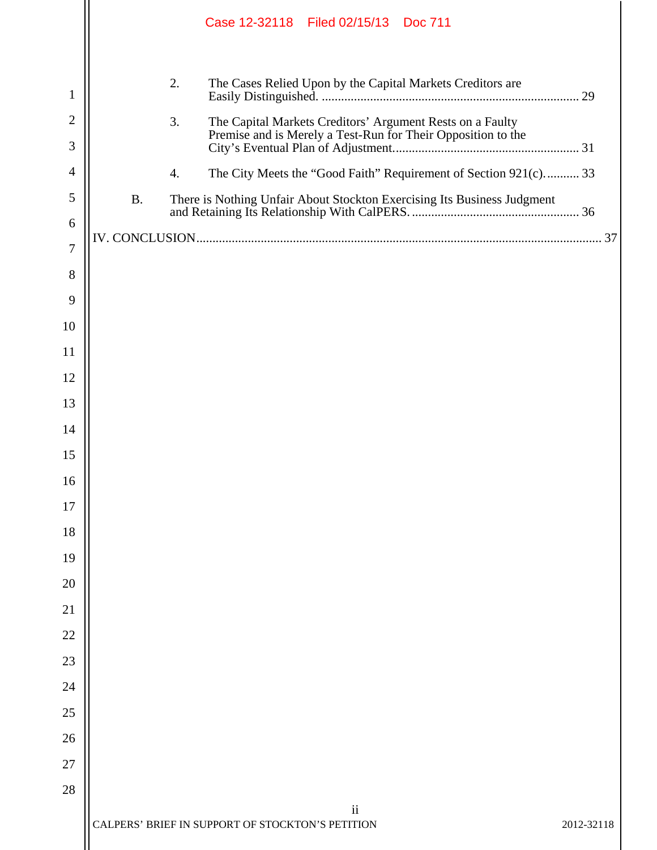|                |                  | Case 12-32118 Filed 02/15/13 Doc 711                                    |            |
|----------------|------------------|-------------------------------------------------------------------------|------------|
| 1              | 2.               | The Cases Relied Upon by the Capital Markets Creditors are              |            |
| $\overline{2}$ | 3.               | The Capital Markets Creditors' Argument Rests on a Faulty               |            |
| 3              |                  | Premise and is Merely a Test-Run for Their Opposition to the            |            |
| 4              | $\overline{4}$ . | The City Meets the "Good Faith" Requirement of Section 921(c) 33        |            |
| 5              | <b>B.</b>        | There is Nothing Unfair About Stockton Exercising Its Business Judgment |            |
| 6              |                  |                                                                         |            |
| 7              |                  |                                                                         |            |
| 8              |                  |                                                                         |            |
| 9              |                  |                                                                         |            |
| 10             |                  |                                                                         |            |
| <sup>11</sup>  |                  |                                                                         |            |
| 12             |                  |                                                                         |            |
| 13             |                  |                                                                         |            |
| 14             |                  |                                                                         |            |
| 15             |                  |                                                                         |            |
| 16             |                  |                                                                         |            |
| 17             |                  |                                                                         |            |
| 18             |                  |                                                                         |            |
| 19             |                  |                                                                         |            |
| 20             |                  |                                                                         |            |
| 21             |                  |                                                                         |            |
| 22             |                  |                                                                         |            |
| 23             |                  |                                                                         |            |
| 24             |                  |                                                                         |            |
| 25             |                  |                                                                         |            |
| 26             |                  |                                                                         |            |
| 27             |                  |                                                                         |            |
| 28             |                  | ii                                                                      |            |
|                |                  | CALPERS' BRIEF IN SUPPORT OF STOCKTON'S PETITION                        | 2012-32118 |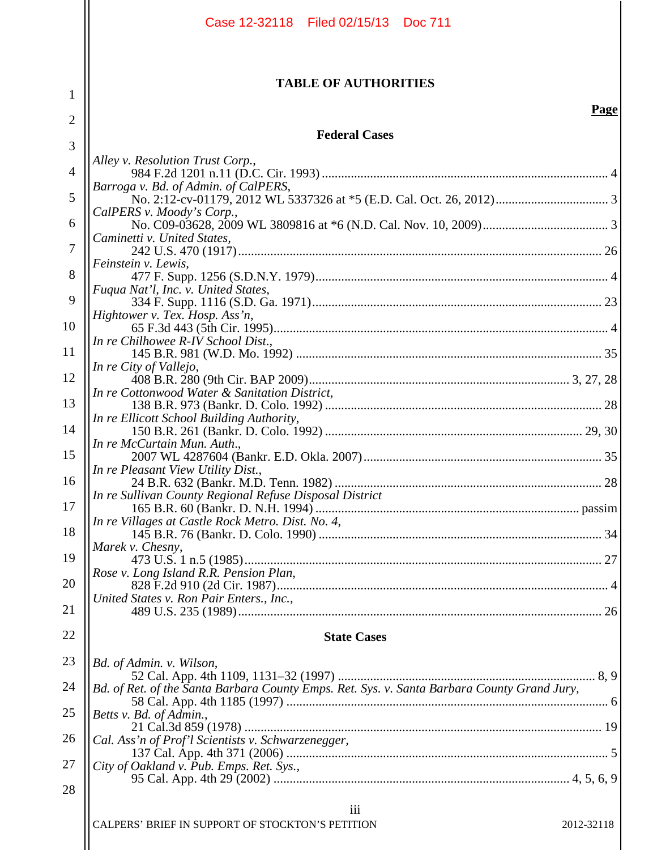|                | Case 12-32118 Filed 02/15/13 Doc 711                                                        |  |
|----------------|---------------------------------------------------------------------------------------------|--|
| 1              | <b>TABLE OF AUTHORITIES</b>                                                                 |  |
| 2              | Page                                                                                        |  |
|                | <b>Federal Cases</b>                                                                        |  |
| 3              | Alley v. Resolution Trust Corp.,                                                            |  |
| $\overline{4}$ | Barroga v. Bd. of Admin. of CalPERS,                                                        |  |
| 5              | CalPERS v. Moody's Corp.,                                                                   |  |
| 6              |                                                                                             |  |
| 7              | Caminetti v. United States,                                                                 |  |
| 8              | Feinstein v. Lewis,                                                                         |  |
| 9              | Fuqua Nat'l, Inc. v. United States,                                                         |  |
| 10             | Hightower v. Tex. Hosp. Ass'n,                                                              |  |
|                | In re Chilhowee R-IV School Dist.,                                                          |  |
| 11             | In re City of Vallejo,                                                                      |  |
| 12             | In re Cottonwood Water & Sanitation District,                                               |  |
| 13             | In re Ellicott School Building Authority,                                                   |  |
| 14             |                                                                                             |  |
| 15             | In re McCurtain Mun. Auth.,                                                                 |  |
| 16             | In re Pleasant View Utility Dist.,                                                          |  |
| 17             | In re Sullivan County Regional Refuse Disposal District                                     |  |
| 18             | In re Villages at Castle Rock Metro. Dist. No. 4,                                           |  |
| 19             | Marek v. Chesny,                                                                            |  |
|                | Rose v. Long Island R.R. Pension Plan,                                                      |  |
| 20             | United States v. Ron Pair Enters., Inc.,                                                    |  |
| 21             |                                                                                             |  |
| 22             | <b>State Cases</b>                                                                          |  |
| 23             | Bd. of Admin. v. Wilson,                                                                    |  |
| 24             | Bd. of Ret. of the Santa Barbara County Emps. Ret. Sys. v. Santa Barbara County Grand Jury, |  |
| 25             | Betts v. Bd. of Admin.,                                                                     |  |
| 26             | Cal. Ass'n of Prof'l Scientists v. Schwarzenegger,                                          |  |
| 27             | City of Oakland v. Pub. Emps. Ret. Sys.,                                                    |  |
| 28             |                                                                                             |  |
|                | iii                                                                                         |  |
|                | CALPERS' BRIEF IN SUPPORT OF STOCKTON'S PETITION<br>2012-32118                              |  |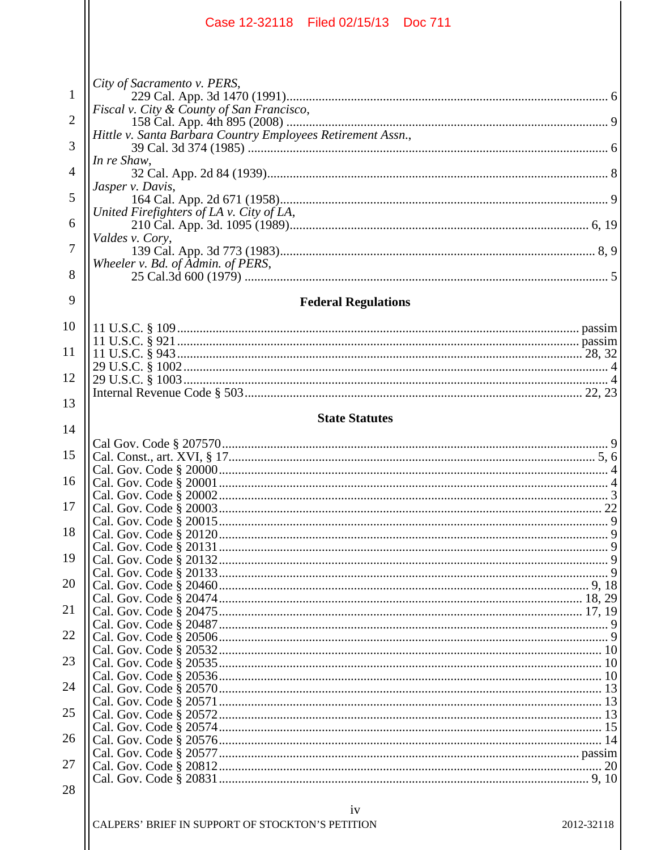| Case 12-32118 Filed 02/15/13 Doc 711                                               |            |
|------------------------------------------------------------------------------------|------------|
| City of Sacramento v. PERS,                                                        |            |
| $\mathbf{1}$<br>Fiscal v. City & County of San Francisco,                          |            |
| $\overline{2}$<br>Hittle v. Santa Barbara Country Employees Retirement Assn.,<br>3 |            |
| In re Shaw,<br>4                                                                   |            |
| Jasper v. Davis,<br>5                                                              |            |
| United Firefighters of LA v. City of LA,<br>6                                      |            |
| Valdes v. Cory,<br>7                                                               |            |
| Wheeler v. Bd. of Admin. of PERS,<br>8                                             |            |
| 9<br><b>Federal Regulations</b>                                                    |            |
| 10                                                                                 |            |
| 11                                                                                 |            |
| 12                                                                                 |            |
| 13                                                                                 |            |
| <b>State Statutes</b><br>14                                                        |            |
| 15                                                                                 |            |
| 16                                                                                 |            |
| 17                                                                                 |            |
| 18                                                                                 |            |
| 19                                                                                 |            |
| 20                                                                                 |            |
| 21                                                                                 |            |
| 22                                                                                 |            |
|                                                                                    |            |
| 23                                                                                 |            |
| 24                                                                                 |            |
| 25                                                                                 |            |
| 26                                                                                 |            |
| 27                                                                                 |            |
| 28                                                                                 |            |
| iv<br>CALPERS' BRIEF IN SUPPORT OF STOCKTON'S PETITION                             | 2012-32118 |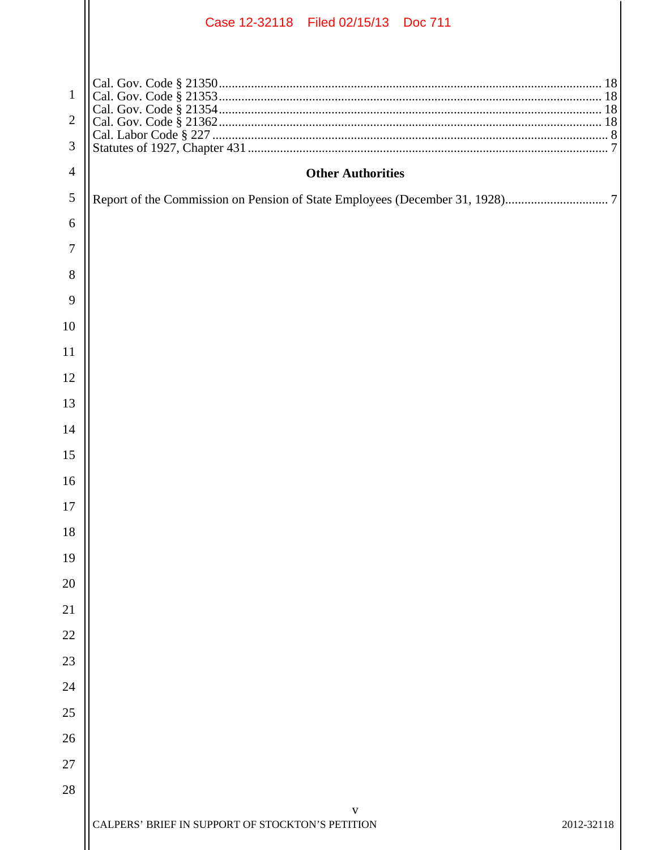|                | Case 12-32118 Filed 02/15/13 Doc 711                           |  |
|----------------|----------------------------------------------------------------|--|
|                |                                                                |  |
| 1              |                                                                |  |
| $\overline{2}$ |                                                                |  |
| 3              |                                                                |  |
| $\overline{4}$ | <b>Other Authorities</b>                                       |  |
| 5              |                                                                |  |
| 6              |                                                                |  |
| 7              |                                                                |  |
| 8              |                                                                |  |
| 9              |                                                                |  |
| 10             |                                                                |  |
| 11             |                                                                |  |
| 12             |                                                                |  |
| 13             |                                                                |  |
| 14             |                                                                |  |
| 15             |                                                                |  |
| 16             |                                                                |  |
| 17             |                                                                |  |
| 18             |                                                                |  |
| 19             |                                                                |  |
| 20             |                                                                |  |
| 21             |                                                                |  |
| 22             |                                                                |  |
| 23             |                                                                |  |
| 24             |                                                                |  |
| 25             |                                                                |  |
| 26             |                                                                |  |
| 27             |                                                                |  |
| 28             | V                                                              |  |
|                | CALPERS' BRIEF IN SUPPORT OF STOCKTON'S PETITION<br>2012-32118 |  |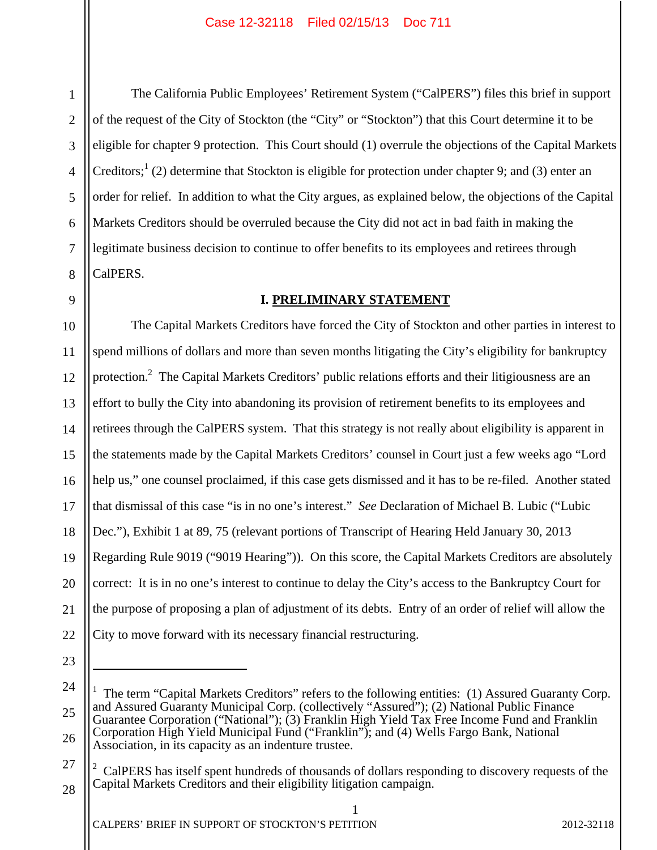7

8

9

1

The California Public Employees' Retirement System ("CalPERS") files this brief in support of the request of the City of Stockton (the "City" or "Stockton") that this Court determine it to be eligible for chapter 9 protection. This Court should (1) overrule the objections of the Capital Markets Creditors;<sup>1</sup> (2) determine that Stockton is eligible for protection under chapter 9; and (3) enter an order for relief. In addition to what the City argues, as explained below, the objections of the Capital Markets Creditors should be overruled because the City did not act in bad faith in making the legitimate business decision to continue to offer benefits to its employees and retirees through CalPERS.

#### **I. PRELIMINARY STATEMENT**

10 11 12 13 14 15 16 17 18 19 20 21 22 The Capital Markets Creditors have forced the City of Stockton and other parties in interest to spend millions of dollars and more than seven months litigating the City's eligibility for bankruptcy protection.<sup>2</sup> The Capital Markets Creditors' public relations efforts and their litigiousness are an effort to bully the City into abandoning its provision of retirement benefits to its employees and retirees through the CalPERS system. That this strategy is not really about eligibility is apparent in the statements made by the Capital Markets Creditors' counsel in Court just a few weeks ago "Lord help us," one counsel proclaimed, if this case gets dismissed and it has to be re-filed. Another stated that dismissal of this case "is in no one's interest." *See* Declaration of Michael B. Lubic ("Lubic Dec."), Exhibit 1 at 89, 75 (relevant portions of Transcript of Hearing Held January 30, 2013 Regarding Rule 9019 ("9019 Hearing")). On this score, the Capital Markets Creditors are absolutely correct: It is in no one's interest to continue to delay the City's access to the Bankruptcy Court for the purpose of proposing a plan of adjustment of its debts. Entry of an order of relief will allow the City to move forward with its necessary financial restructuring.

23

 $\overline{a}$ 

<sup>24</sup>  25 26 <sup>1</sup> The term "Capital Markets Creditors" refers to the following entities: (1) Assured Guaranty Corp. and Assured Guaranty Municipal Corp. (collectively "Assured"); (2) National Public Finance Guarantee Corporation ("National"); (3) Franklin High Yield Tax Free Income Fund and Franklin Corporation High Yield Municipal Fund ("Franklin"); and (4) Wells Fargo Bank, National Association, in its capacity as an indenture trustee.

<sup>27</sup>  28  $2^{\circ}$  CalPERS has itself spent hundreds of thousands of dollars responding to discovery requests of the Capital Markets Creditors and their eligibility litigation campaign.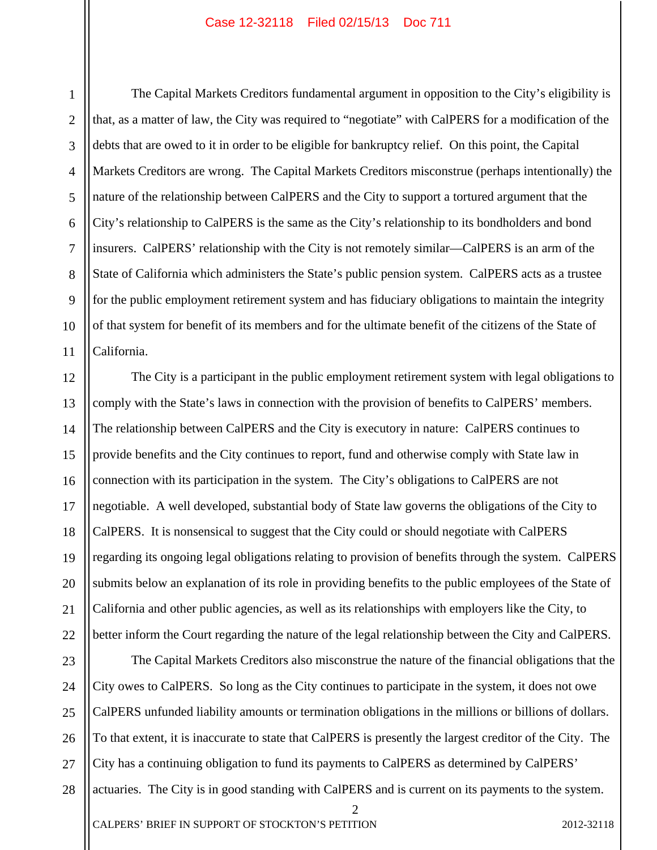1 2 3 4 5 6 7 8 9 10 11 The Capital Markets Creditors fundamental argument in opposition to the City's eligibility is that, as a matter of law, the City was required to "negotiate" with CalPERS for a modification of the debts that are owed to it in order to be eligible for bankruptcy relief. On this point, the Capital Markets Creditors are wrong. The Capital Markets Creditors misconstrue (perhaps intentionally) the nature of the relationship between CalPERS and the City to support a tortured argument that the City's relationship to CalPERS is the same as the City's relationship to its bondholders and bond insurers. CalPERS' relationship with the City is not remotely similar—CalPERS is an arm of the State of California which administers the State's public pension system. CalPERS acts as a trustee for the public employment retirement system and has fiduciary obligations to maintain the integrity of that system for benefit of its members and for the ultimate benefit of the citizens of the State of California.

12 13 14 15 16 17 18 19 20 21 22 The City is a participant in the public employment retirement system with legal obligations to comply with the State's laws in connection with the provision of benefits to CalPERS' members. The relationship between CalPERS and the City is executory in nature: CalPERS continues to provide benefits and the City continues to report, fund and otherwise comply with State law in connection with its participation in the system. The City's obligations to CalPERS are not negotiable. A well developed, substantial body of State law governs the obligations of the City to CalPERS. It is nonsensical to suggest that the City could or should negotiate with CalPERS regarding its ongoing legal obligations relating to provision of benefits through the system. CalPERS submits below an explanation of its role in providing benefits to the public employees of the State of California and other public agencies, as well as its relationships with employers like the City, to better inform the Court regarding the nature of the legal relationship between the City and CalPERS.

23 24 25 26 27 28 The Capital Markets Creditors also misconstrue the nature of the financial obligations that the City owes to CalPERS. So long as the City continues to participate in the system, it does not owe CalPERS unfunded liability amounts or termination obligations in the millions or billions of dollars. To that extent, it is inaccurate to state that CalPERS is presently the largest creditor of the City. The City has a continuing obligation to fund its payments to CalPERS as determined by CalPERS' actuaries. The City is in good standing with CalPERS and is current on its payments to the system.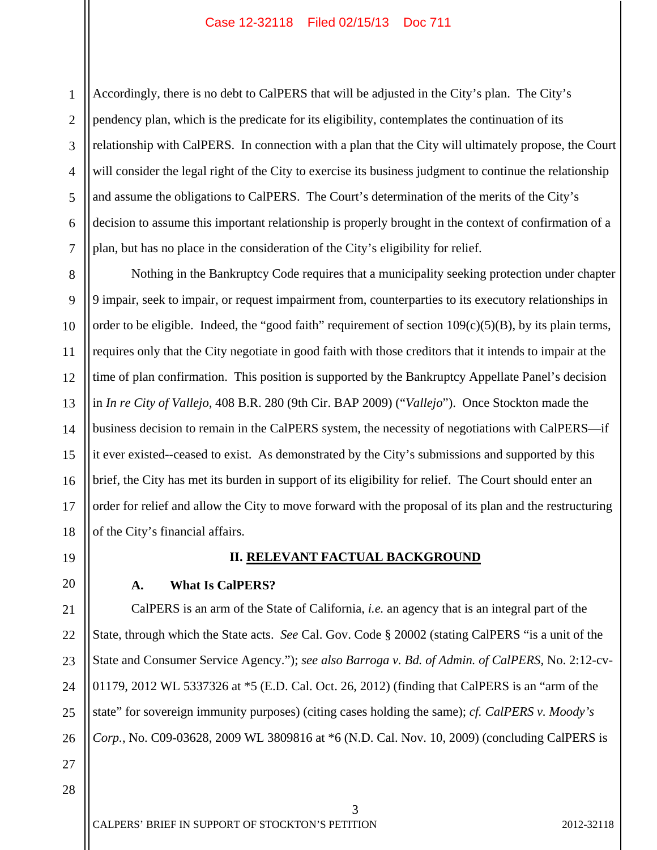1 2 3 4 5 6 7 Accordingly, there is no debt to CalPERS that will be adjusted in the City's plan. The City's pendency plan, which is the predicate for its eligibility, contemplates the continuation of its relationship with CalPERS. In connection with a plan that the City will ultimately propose, the Court will consider the legal right of the City to exercise its business judgment to continue the relationship and assume the obligations to CalPERS. The Court's determination of the merits of the City's decision to assume this important relationship is properly brought in the context of confirmation of a plan, but has no place in the consideration of the City's eligibility for relief.

8 9 10 11 12 13 14 15 16 17 18 Nothing in the Bankruptcy Code requires that a municipality seeking protection under chapter 9 impair, seek to impair, or request impairment from, counterparties to its executory relationships in order to be eligible. Indeed, the "good faith" requirement of section  $109(c)(5)(B)$ , by its plain terms, requires only that the City negotiate in good faith with those creditors that it intends to impair at the time of plan confirmation. This position is supported by the Bankruptcy Appellate Panel's decision in *In re City of Vallejo*, 408 B.R. 280 (9th Cir. BAP 2009) ("*Vallejo*"). Once Stockton made the business decision to remain in the CalPERS system, the necessity of negotiations with CalPERS—if it ever existed--ceased to exist. As demonstrated by the City's submissions and supported by this brief, the City has met its burden in support of its eligibility for relief. The Court should enter an order for relief and allow the City to move forward with the proposal of its plan and the restructuring of the City's financial affairs.

19

20

21

22

23

24

25

26

27

### **II. RELEVANT FACTUAL BACKGROUND**

#### **A. What Is CalPERS?**

CalPERS is an arm of the State of California, *i.e.* an agency that is an integral part of the State, through which the State acts. *See* Cal. Gov. Code § 20002 (stating CalPERS "is a unit of the State and Consumer Service Agency."); *see also Barroga v. Bd. of Admin. of CalPERS*, No. 2:12-cv-01179, 2012 WL 5337326 at \*5 (E.D. Cal. Oct. 26, 2012) (finding that CalPERS is an "arm of the state" for sovereign immunity purposes) (citing cases holding the same); *cf. CalPERS v. Moody's Corp.*, No. C09-03628, 2009 WL 3809816 at \*6 (N.D. Cal. Nov. 10, 2009) (concluding CalPERS is

3

28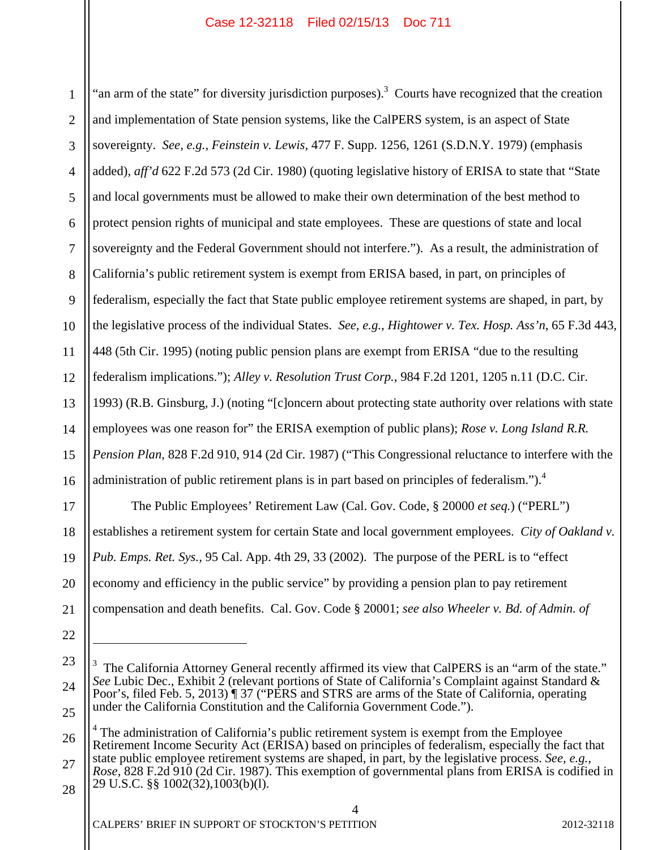1 2 3 4 5 6 7 8 9 10 11 12 13 14 15 16 17 18 "an arm of the state" for diversity jurisdiction purposes).<sup>3</sup> Courts have recognized that the creation and implementation of State pension systems, like the CalPERS system, is an aspect of State sovereignty. *See, e.g., Feinstein v. Lewis,* 477 F. Supp. 1256, 1261 (S.D.N.Y. 1979) (emphasis added), *aff'd* 622 F.2d 573 (2d Cir. 1980) (quoting legislative history of ERISA to state that "State and local governments must be allowed to make their own determination of the best method to protect pension rights of municipal and state employees. These are questions of state and local sovereignty and the Federal Government should not interfere."). As a result, the administration of California's public retirement system is exempt from ERISA based, in part, on principles of federalism, especially the fact that State public employee retirement systems are shaped, in part, by the legislative process of the individual States. *See, e.g.*, *Hightower v. Tex. Hosp. Ass'n*, 65 F.3d 443, 448 (5th Cir. 1995) (noting public pension plans are exempt from ERISA "due to the resulting federalism implications."); *Alley v. Resolution Trust Corp.*, 984 F.2d 1201, 1205 n.11 (D.C. Cir. 1993) (R.B. Ginsburg, J.) (noting "[c]oncern about protecting state authority over relations with state employees was one reason for" the ERISA exemption of public plans); *Rose v. Long Island R.R. Pension Plan*, 828 F.2d 910, 914 (2d Cir. 1987) ("This Congressional reluctance to interfere with the administration of public retirement plans is in part based on principles of federalism.").<sup>4</sup> The Public Employees' Retirement Law (Cal. Gov. Code, § 20000 *et seq.*) ("PERL") establishes a retirement system for certain State and local government employees. *City of Oakland v.* 

19 *Pub. Emps. Ret. Sys.,* 95 Cal. App. 4th 29, 33 (2002). The purpose of the PERL is to "effect

economy and efficiency in the public service" by providing a pension plan to pay retirement

21 compensation and death benefits. Cal. Gov. Code § 20001; *see also Wheeler v. Bd. of Admin. of* 

 $\overline{a}$ 

20

26 27 <sup>4</sup> The administration of California's public retirement system is exempt from the Employee Retirement Income Security Act (ERISA) based on principles of federalism, especially the fact that state public employee retirement systems are shaped, in part, by the legislative process. *See, e.g., Rose,* 828 F.2d 910 (2d Cir. 1987). This exemption of governmental plans from ERISA is codified in 29 U.S.C. §§ 1002(32),1003(b)(l).

4

<sup>22</sup> 

<sup>23</sup>  24 25  $3$  The California Attorney General recently affirmed its view that CalPERS is an "arm of the state." *See* Lubic Dec., Exhibit 2 (relevant portions of State of California's Complaint against Standard & Poor's, filed Feb. 5, 2013) ¶ 37 ("PERS and STRS are arms of the State of California, operating under the California Constitution and the California Government Code.").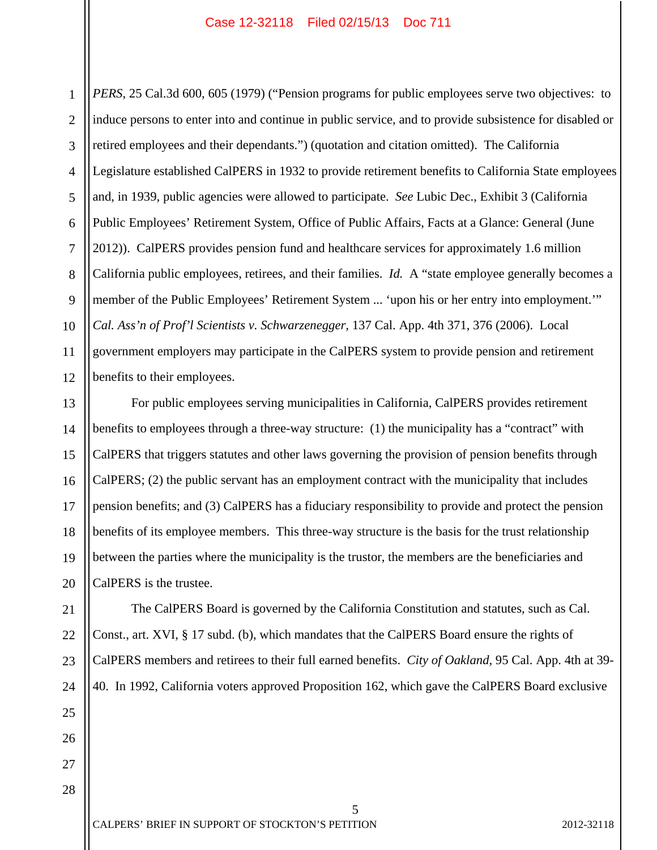1 2 3 4 5 6 7 8 9 10 11 12 *PERS*, 25 Cal.3d 600, 605 (1979) ("Pension programs for public employees serve two objectives: to induce persons to enter into and continue in public service, and to provide subsistence for disabled or retired employees and their dependants.") (quotation and citation omitted). The California Legislature established CalPERS in 1932 to provide retirement benefits to California State employees and, in 1939, public agencies were allowed to participate. *See* Lubic Dec., Exhibit 3 (California Public Employees' Retirement System, Office of Public Affairs, Facts at a Glance: General (June 2012)). CalPERS provides pension fund and healthcare services for approximately 1.6 million California public employees, retirees, and their families. *Id.* A "state employee generally becomes a member of the Public Employees' Retirement System ... 'upon his or her entry into employment.'" *Cal. Ass'n of Prof'l Scientists v. Schwarzenegger,* 137 Cal. App. 4th 371, 376 (2006). Local government employers may participate in the CalPERS system to provide pension and retirement benefits to their employees.

13 14 15 16 17 18 19 20 For public employees serving municipalities in California, CalPERS provides retirement benefits to employees through a three-way structure: (1) the municipality has a "contract" with CalPERS that triggers statutes and other laws governing the provision of pension benefits through CalPERS; (2) the public servant has an employment contract with the municipality that includes pension benefits; and (3) CalPERS has a fiduciary responsibility to provide and protect the pension benefits of its employee members. This three-way structure is the basis for the trust relationship between the parties where the municipality is the trustor, the members are the beneficiaries and CalPERS is the trustee.

 The CalPERS Board is governed by the California Constitution and statutes, such as Cal. Const., art. XVI, § 17 subd. (b), which mandates that the CalPERS Board ensure the rights of CalPERS members and retirees to their full earned benefits. *City of Oakland,* 95 Cal. App. 4th at 39- 40. In 1992, California voters approved Proposition 162, which gave the CalPERS Board exclusive

5

26 27 28

21

22

23

24

25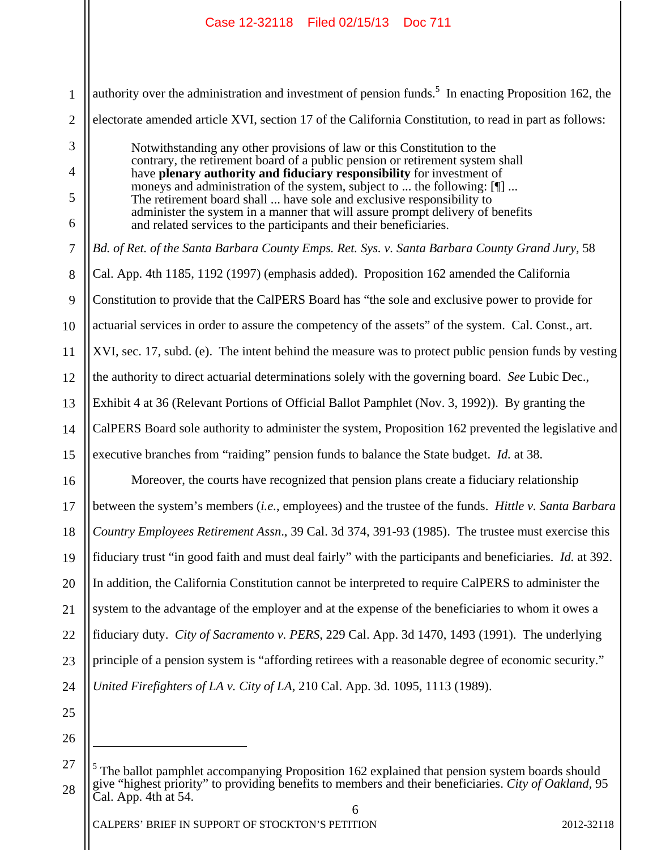1 2 3 4 5 6 7 8 9 10 11 12 13 14 15 16 17 18 19 20 21 22 23 24 25 authority over the administration and investment of pension funds.<sup>5</sup> In enacting Proposition 162, the electorate amended article XVI, section 17 of the California Constitution, to read in part as follows: Notwithstanding any other provisions of law or this Constitution to the contrary, the retirement board of a public pension or retirement system shall have **plenary authority and fiduciary responsibility** for investment of moneys and administration of the system, subject to ... the following: [¶] ... The retirement board shall ... have sole and exclusive responsibility to administer the system in a manner that will assure prompt delivery of benefits and related services to the participants and their beneficiaries. *Bd. of Ret. of the Santa Barbara County Emps. Ret. Sys. v. Santa Barbara County Grand Jury, 58* Cal. App. 4th 1185, 1192 (1997) (emphasis added).Proposition 162 amended the California Constitution to provide that the CalPERS Board has "the sole and exclusive power to provide for actuarial services in order to assure the competency of the assets" of the system. Cal. Const., art. XVI, sec. 17, subd. (e). The intent behind the measure was to protect public pension funds by vesting the authority to direct actuarial determinations solely with the governing board. *See* Lubic Dec., Exhibit 4 at 36 (Relevant Portions of Official Ballot Pamphlet (Nov. 3, 1992)). By granting the CalPERS Board sole authority to administer the system, Proposition 162 prevented the legislative and executive branches from "raiding" pension funds to balance the State budget. *Id.* at 38. Moreover, the courts have recognized that pension plans create a fiduciary relationship between the system's members (*i.e.*, employees) and the trustee of the funds. *Hittle v. Santa Barbara Country Employees Retirement Assn*., 39 Cal. 3d 374, 391-93 (1985). The trustee must exercise this fiduciary trust "in good faith and must deal fairly" with the participants and beneficiaries. *Id.* at 392. In addition, the California Constitution cannot be interpreted to require CalPERS to administer the system to the advantage of the employer and at the expense of the beneficiaries to whom it owes a fiduciary duty. *City of Sacramento v. PERS*, 229 Cal. App. 3d 1470, 1493 (1991). The underlying principle of a pension system is "affording retirees with a reasonable degree of economic security." *United Firefighters of LA v. City of LA*, 210 Cal. App. 3d. 1095, 1113 (1989).

26

 $\overline{a}$ 

<sup>27</sup>  28 6  $<sup>5</sup>$  The ballot pamphlet accompanying Proposition 162 explained that pension system boards should</sup> give "highest priority" to providing benefits to members and their beneficiaries. *City of Oakland,* 95 Cal. App. 4th at 54.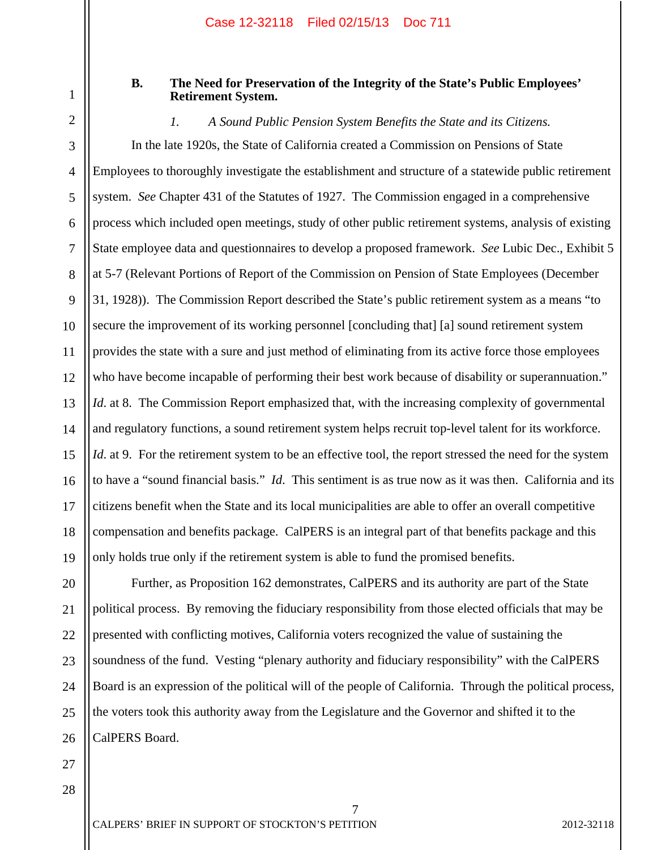# **B. The Need for Preservation of the Integrity of the State's Public Employees' Retirement System.**

*1. A Sound Public Pension System Benefits the State and its Citizens.* 

3 4 5 6 7 8 9 10 11 12 13 14 15 16 17 18 19 In the late 1920s, the State of California created a Commission on Pensions of State Employees to thoroughly investigate the establishment and structure of a statewide public retirement system. *See* Chapter 431 of the Statutes of 1927. The Commission engaged in a comprehensive process which included open meetings, study of other public retirement systems, analysis of existing State employee data and questionnaires to develop a proposed framework. *See* Lubic Dec., Exhibit 5 at 5-7 (Relevant Portions of Report of the Commission on Pension of State Employees (December 31, 1928)). The Commission Report described the State's public retirement system as a means "to secure the improvement of its working personnel [concluding that] [a] sound retirement system provides the state with a sure and just method of eliminating from its active force those employees who have become incapable of performing their best work because of disability or superannuation." *Id.* at 8. The Commission Report emphasized that, with the increasing complexity of governmental and regulatory functions, a sound retirement system helps recruit top-level talent for its workforce. *Id.* at 9. For the retirement system to be an effective tool, the report stressed the need for the system to have a "sound financial basis." *Id*. This sentiment is as true now as it was then. California and its citizens benefit when the State and its local municipalities are able to offer an overall competitive compensation and benefits package. CalPERS is an integral part of that benefits package and this only holds true only if the retirement system is able to fund the promised benefits.

20 21 22 23 24 25 26 Further, as Proposition 162 demonstrates, CalPERS and its authority are part of the State political process. By removing the fiduciary responsibility from those elected officials that may be presented with conflicting motives, California voters recognized the value of sustaining the soundness of the fund. Vesting "plenary authority and fiduciary responsibility" with the CalPERS Board is an expression of the political will of the people of California. Through the political process, the voters took this authority away from the Legislature and the Governor and shifted it to the CalPERS Board.

7

27 28

1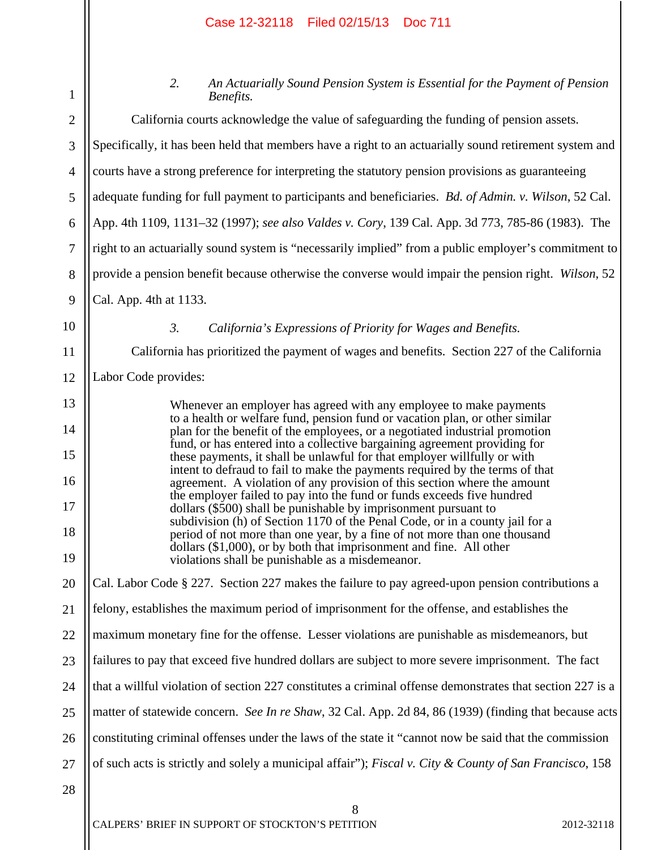1 2

3

4

5

6

7

8

9

10

11

12

13

14

15

16

17

18

19

20

21

22

23

24

25

26

27

*2. An Actuarially Sound Pension System is Essential for the Payment of Pension Benefits.*  California courts acknowledge the value of safeguarding the funding of pension assets. Specifically, it has been held that members have a right to an actuarially sound retirement system and courts have a strong preference for interpreting the statutory pension provisions as guaranteeing adequate funding for full payment to participants and beneficiaries. *Bd. of Admin. v. Wilson*, 52 Cal. App. 4th 1109, 1131–32 (1997); *see also Valdes v. Cory*, 139 Cal. App. 3d 773, 785-86 (1983). The right to an actuarially sound system is "necessarily implied" from a public employer's commitment to provide a pension benefit because otherwise the converse would impair the pension right. *Wilson*, 52 Cal. App. 4th at 1133. *3. California's Expressions of Priority for Wages and Benefits.*  California has prioritized the payment of wages and benefits. Section 227 of the California Labor Code provides: Whenever an employer has agreed with any employee to make payments to a health or welfare fund, pension fund or vacation plan, or other similar plan for the benefit of the employees, or a negotiated industrial promotion fund, or has entered into a collective bargaining agreement providing for these payments, it shall be unlawful for that employer willfully or with intent to defraud to fail to make the payments required by the terms of that agreement. A violation of any provision of this section where the amount the employer failed to pay into the fund or funds exceeds five hundred dollars (\$500) shall be punishable by imprisonment pursuant to subdivision (h) of Section 1170 of the Penal Code, or in a county jail for a period of not more than one year, by a fine of not more than one thousand dollars (\$1,000), or by both that imprisonment and fine. All other violations shall be punishable as a misdemeanor. Cal. Labor Code § 227. Section 227 makes the failure to pay agreed-upon pension contributions a felony, establishes the maximum period of imprisonment for the offense, and establishes the maximum monetary fine for the offense. Lesser violations are punishable as misdemeanors, but failures to pay that exceed five hundred dollars are subject to more severe imprisonment. The fact that a willful violation of section 227 constitutes a criminal offense demonstrates that section 227 is a matter of statewide concern. *See In re Shaw*, 32 Cal. App. 2d 84, 86 (1939) (finding that because acts constituting criminal offenses under the laws of the state it "cannot now be said that the commission of such acts is strictly and solely a municipal affair"); *Fiscal v. City & County of San Francisco*, 158

8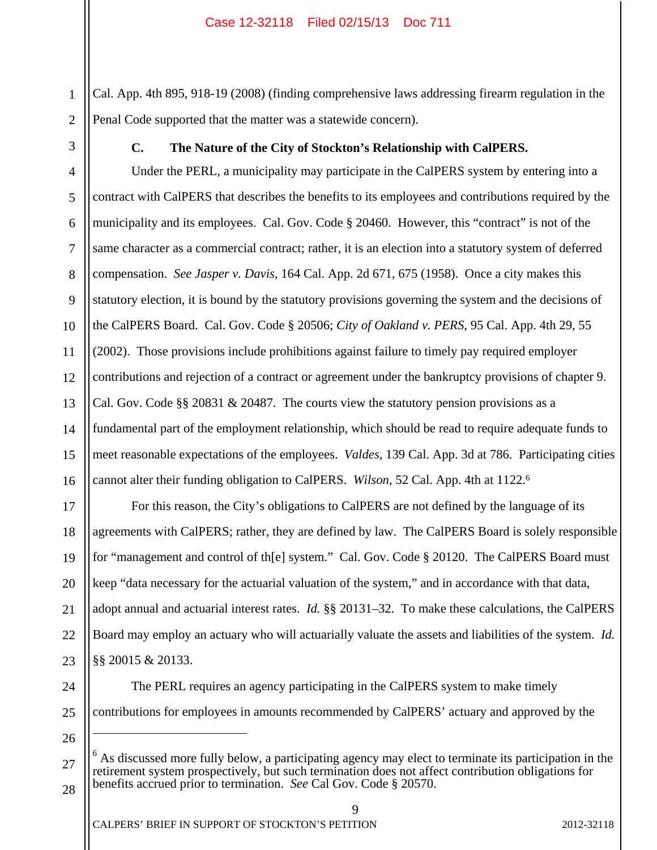1 2 Cal. App. 4th 895, 918-19 (2008) (finding comprehensive laws addressing firearm regulation in the Penal Code supported that the matter was a statewide concern).

3

#### **C. The Nature of the City of Stockton's Relationship with CalPERS.**

4 5 6 7 8 9 10 11 12 13 14 15 16 Under the PERL, a municipality may participate in the CalPERS system by entering into a contract with CalPERS that describes the benefits to its employees and contributions required by the municipality and its employees. Cal. Gov. Code § 20460. However, this "contract" is not of the same character as a commercial contract; rather, it is an election into a statutory system of deferred compensation. *See Jasper v. Davis*, 164 Cal. App. 2d 671, 675 (1958). Once a city makes this statutory election, it is bound by the statutory provisions governing the system and the decisions of the CalPERS Board. Cal. Gov. Code § 20506; *City of Oakland v. PERS*, 95 Cal. App. 4th 29, 55 (2002). Those provisions include prohibitions against failure to timely pay required employer contributions and rejection of a contract or agreement under the bankruptcy provisions of chapter 9. Cal. Gov. Code §§ 20831 & 20487. The courts view the statutory pension provisions as a fundamental part of the employment relationship, which should be read to require adequate funds to meet reasonable expectations of the employees. *Valdes*, 139 Cal. App. 3d at 786. Participating cities cannot alter their funding obligation to CalPERS. *Wilson*, 52 Cal. App. 4th at 1122.6

17 18 19 20 21 22 23 For this reason, the City's obligations to CalPERS are not defined by the language of its agreements with CalPERS; rather, they are defined by law. The CalPERS Board is solely responsible for "management and control of th[e] system." Cal. Gov. Code § 20120. The CalPERS Board must keep "data necessary for the actuarial valuation of the system," and in accordance with that data, adopt annual and actuarial interest rates. *Id.* §§ 20131–32. To make these calculations, the CalPERS Board may employ an actuary who will actuarially valuate the assets and liabilities of the system. *Id.* §§ 20015 & 20133.

 The PERL requires an agency participating in the CalPERS system to make timely contributions for employees in amounts recommended by CalPERS' actuary and approved by the

27 <sup>6</sup> As discussed more fully below, a participating agency may elect to terminate its participation in the retirement system prospectively, but such termination does not affect contribution obligations for benefits accrued prior to termination. *See* Cal Gov. Code § 20570.

9

28

 $\overline{a}$ 

24

25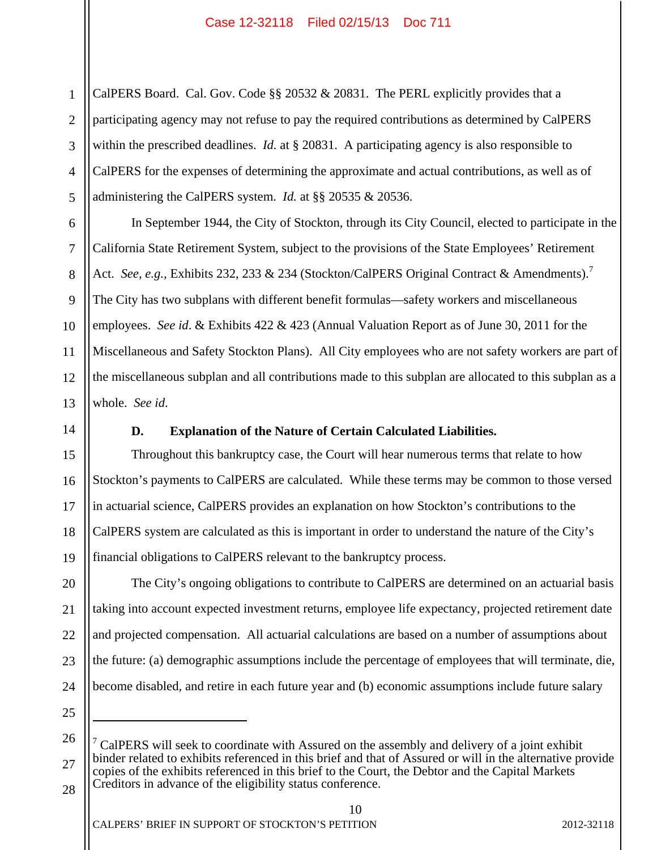1 2 3 4 5 CalPERS Board. Cal. Gov. Code §§ 20532 & 20831. The PERL explicitly provides that a participating agency may not refuse to pay the required contributions as determined by CalPERS within the prescribed deadlines. *Id.* at § 20831. A participating agency is also responsible to CalPERS for the expenses of determining the approximate and actual contributions, as well as of administering the CalPERS system. *Id.* at §§ 20535 & 20536.

6 7 8 9 10 11 12 13 In September 1944, the City of Stockton, through its City Council, elected to participate in the California State Retirement System, subject to the provisions of the State Employees' Retirement Act. *See, e.g.*, Exhibits 232, 233 & 234 (Stockton/CalPERS Original Contract & Amendments).<sup>7</sup> The City has two subplans with different benefit formulas—safety workers and miscellaneous employees. *See id*. & Exhibits 422 & 423 (Annual Valuation Report as of June 30, 2011 for the Miscellaneous and Safety Stockton Plans). All City employees who are not safety workers are part of the miscellaneous subplan and all contributions made to this subplan are allocated to this subplan as a whole. *See id*.

14

#### **D. Explanation of the Nature of Certain Calculated Liabilities.**

15 16 17 18 19 Throughout this bankruptcy case, the Court will hear numerous terms that relate to how Stockton's payments to CalPERS are calculated. While these terms may be common to those versed in actuarial science, CalPERS provides an explanation on how Stockton's contributions to the CalPERS system are calculated as this is important in order to understand the nature of the City's financial obligations to CalPERS relevant to the bankruptcy process.

20 21 22 23 24 The City's ongoing obligations to contribute to CalPERS are determined on an actuarial basis taking into account expected investment returns, employee life expectancy, projected retirement date and projected compensation. All actuarial calculations are based on a number of assumptions about the future: (a) demographic assumptions include the percentage of employees that will terminate, die, become disabled, and retire in each future year and (b) economic assumptions include future salary

25 26

 $\overline{a}$ 

<sup>27</sup>  28 7 CalPERS will seek to coordinate with Assured on the assembly and delivery of a joint exhibit binder related to exhibits referenced in this brief and that of Assured or will in the alternative provide copies of the exhibits referenced in this brief to the Court, the Debtor and the Capital Markets Creditors in advance of the eligibility status conference.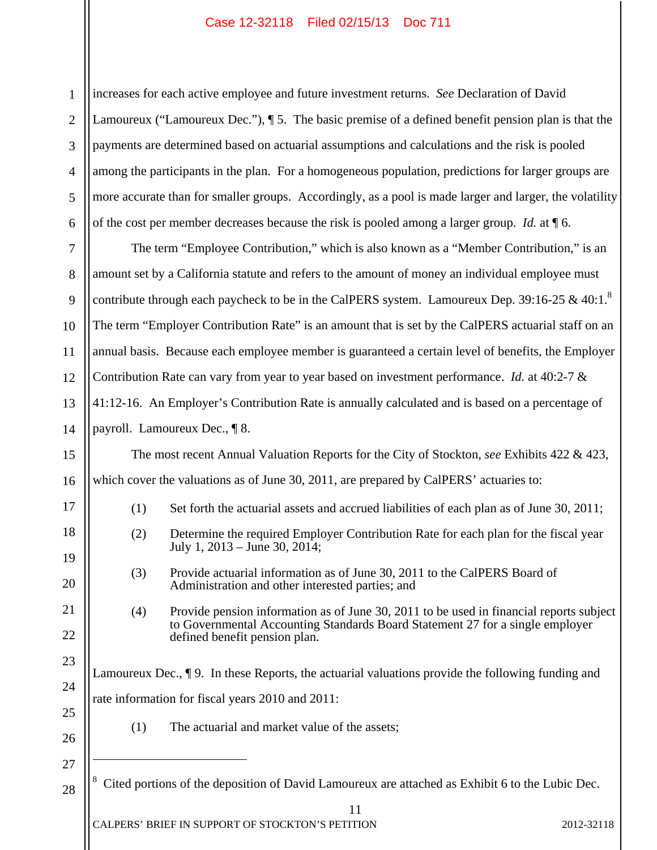1 2 3 4 5 6 increases for each active employee and future investment returns. *See* Declaration of David Lamoureux ("Lamoureux Dec."), ¶ 5. The basic premise of a defined benefit pension plan is that the payments are determined based on actuarial assumptions and calculations and the risk is pooled among the participants in the plan. For a homogeneous population, predictions for larger groups are more accurate than for smaller groups. Accordingly, as a pool is made larger and larger, the volatility of the cost per member decreases because the risk is pooled among a larger group. *Id.* at ¶ 6.

7 8 9 10 11 12 13 14 The term "Employee Contribution," which is also known as a "Member Contribution," is an amount set by a California statute and refers to the amount of money an individual employee must contribute through each paycheck to be in the CalPERS system. Lamoureux Dep. 39:16-25 & 40:1.<sup>8</sup> The term "Employer Contribution Rate" is an amount that is set by the CalPERS actuarial staff on an annual basis. Because each employee member is guaranteed a certain level of benefits, the Employer Contribution Rate can vary from year to year based on investment performance. *Id.* at 40:2-7 & 41:12-16. An Employer's Contribution Rate is annually calculated and is based on a percentage of payroll. Lamoureux Dec., ¶ 8.

The most recent Annual Valuation Reports for the City of Stockton, *see* Exhibits 422 & 423, which cover the valuations as of June 30, 2011, are prepared by CalPERS' actuaries to:

(1) Set forth the actuarial assets and accrued liabilities of each plan as of June 30, 2011;

- (2) Determine the required Employer Contribution Rate for each plan for the fiscal year July 1, 2013 – June 30, 2014;
- (3) Provide actuarial information as of June 30, 2011 to the CalPERS Board of Administration and other interested parties; and
- (4) Provide pension information as of June 30, 2011 to be used in financial reports subject to Governmental Accounting Standards Board Statement 27 for a single employer defined benefit pension plan.

Lamoureux Dec., ¶ 9. In these Reports, the actuarial valuations provide the following funding and rate information for fiscal years 2010 and 2011:

- (1) The actuarial and market value of the assets;
- 27

 $\overline{a}$ 

28

15

16

17

18

19

20

21

22

23

24

25

26

8 Cited portions of the deposition of David Lamoureux are attached as Exhibit 6 to the Lubic Dec.

11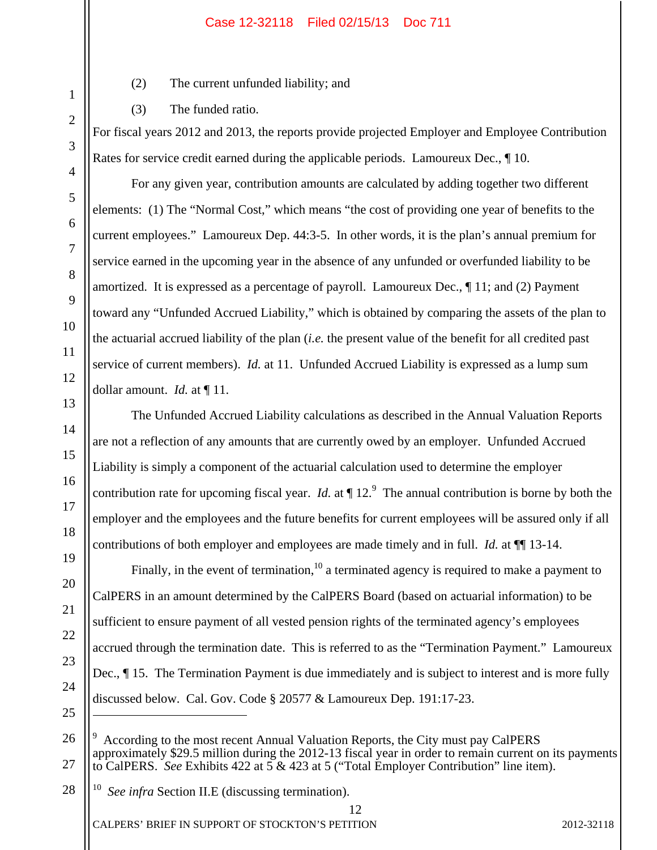- (2) The current unfunded liability; and
- (3) The funded ratio.

For fiscal years 2012 and 2013, the reports provide projected Employer and Employee Contribution Rates for service credit earned during the applicable periods. Lamoureux Dec., ¶ 10.

 For any given year, contribution amounts are calculated by adding together two different elements: (1) The "Normal Cost," which means "the cost of providing one year of benefits to the current employees." Lamoureux Dep. 44:3-5. In other words, it is the plan's annual premium for service earned in the upcoming year in the absence of any unfunded or overfunded liability to be amortized. It is expressed as a percentage of payroll. Lamoureux Dec., ¶ 11; and (2) Payment toward any "Unfunded Accrued Liability," which is obtained by comparing the assets of the plan to the actuarial accrued liability of the plan (*i.e.* the present value of the benefit for all credited past service of current members). *Id.* at 11. Unfunded Accrued Liability is expressed as a lump sum dollar amount. *Id.* at ¶ 11.

 The Unfunded Accrued Liability calculations as described in the Annual Valuation Reports are not a reflection of any amounts that are currently owed by an employer. Unfunded Accrued Liability is simply a component of the actuarial calculation used to determine the employer contribution rate for upcoming fiscal year. *Id.* at  $\P$  12.<sup>9</sup> The annual contribution is borne by both the employer and the employees and the future benefits for current employees will be assured only if all contributions of both employer and employees are made timely and in full. *Id.* at ¶¶ 13-14.

Finally, in the event of termination,  $10<sup>10</sup>$  a terminated agency is required to make a payment to CalPERS in an amount determined by the CalPERS Board (based on actuarial information) to be sufficient to ensure payment of all vested pension rights of the terminated agency's employees accrued through the termination date. This is referred to as the "Termination Payment." Lamoureux Dec., ¶ 15. The Termination Payment is due immediately and is subject to interest and is more fully discussed below. Cal. Gov. Code § 20577 & Lamoureux Dep. 191:17-23.

CALPERS' BRIEF IN SUPPORT OF STOCKTON'S PETITION 2012-32118

 $\overline{a}$ 

<sup>9</sup> According to the most recent Annual Valuation Reports, the City must pay CalPERS approximately \$29.5 million during the 2012-13 fiscal year in order to remain current on its payments to CalPERS. *See* Exhibits 422 at 5 & 423 at 5 ("Total Employer Contribution" line item).

<sup>10</sup> *See infra* Section II.E (discussing termination).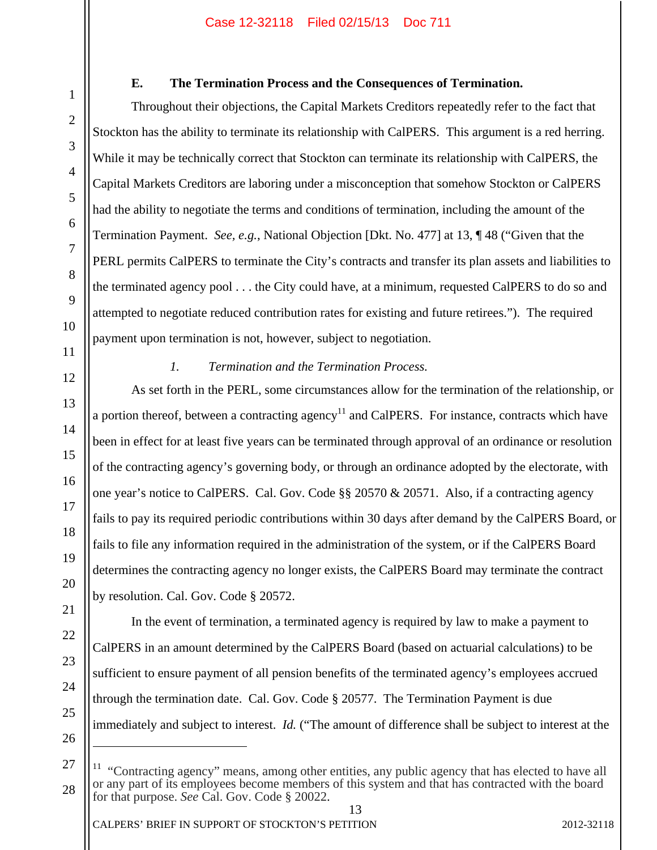#### **E. The Termination Process and the Consequences of Termination.**

 Throughout their objections, the Capital Markets Creditors repeatedly refer to the fact that Stockton has the ability to terminate its relationship with CalPERS. This argument is a red herring. While it may be technically correct that Stockton can terminate its relationship with CalPERS, the Capital Markets Creditors are laboring under a misconception that somehow Stockton or CalPERS had the ability to negotiate the terms and conditions of termination, including the amount of the Termination Payment. *See, e.g.*, National Objection [Dkt. No. 477] at 13, ¶ 48 ("Given that the PERL permits CalPERS to terminate the City's contracts and transfer its plan assets and liabilities to the terminated agency pool . . . the City could have, at a minimum, requested CalPERS to do so and attempted to negotiate reduced contribution rates for existing and future retirees."). The required payment upon termination is not, however, subject to negotiation.

1

2

3

4

5

6

7

8

9

10

11

12

13

14

15

16

17

18

19

20

21

22

23

24

25

26

 $\overline{a}$ 

### *1. Termination and the Termination Process.*

As set forth in the PERL, some circumstances allow for the termination of the relationship, or a portion thereof, between a contracting agency<sup>11</sup> and CalPERS. For instance, contracts which have been in effect for at least five years can be terminated through approval of an ordinance or resolution of the contracting agency's governing body, or through an ordinance adopted by the electorate, with one year's notice to CalPERS. Cal. Gov. Code §§ 20570 & 20571. Also, if a contracting agency fails to pay its required periodic contributions within 30 days after demand by the CalPERS Board, or fails to file any information required in the administration of the system, or if the CalPERS Board determines the contracting agency no longer exists, the CalPERS Board may terminate the contract by resolution. Cal. Gov. Code § 20572.

In the event of termination, a terminated agency is required by law to make a payment to CalPERS in an amount determined by the CalPERS Board (based on actuarial calculations) to be sufficient to ensure payment of all pension benefits of the terminated agency's employees accrued through the termination date. Cal. Gov. Code § 20577. The Termination Payment is due immediately and subject to interest. *Id.* ("The amount of difference shall be subject to interest at the

27 28 11 "Contracting agency" means, among other entities, any public agency that has elected to have all or any part of its employees become members of this system and that has contracted with the board for that purpose. *See* Cal. Gov. Code § 20022.

13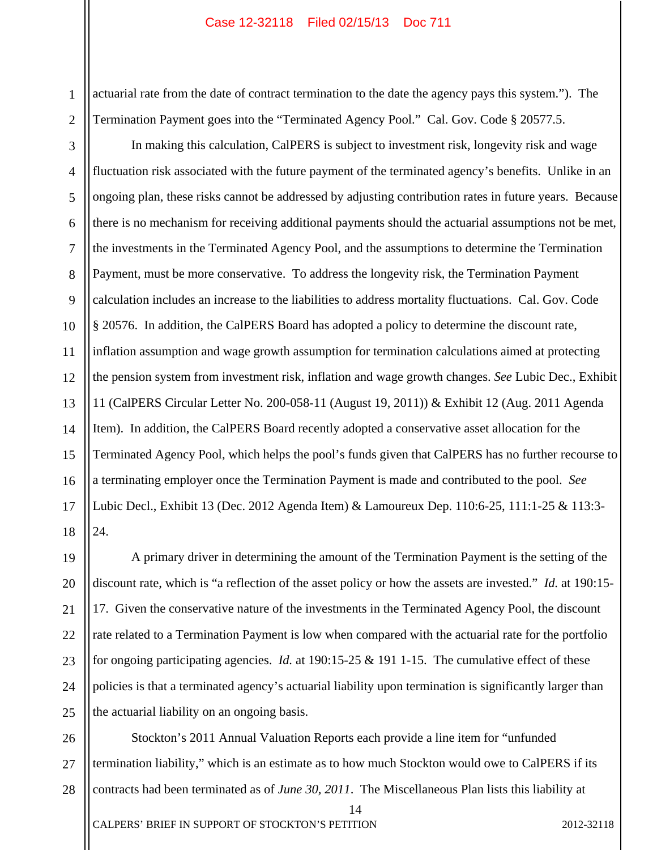1 2 actuarial rate from the date of contract termination to the date the agency pays this system."). The Termination Payment goes into the "Terminated Agency Pool." Cal. Gov. Code § 20577.5.

3 4 5 6 7 8 9 10 11 12 13 14 15 16 17 18 In making this calculation, CalPERS is subject to investment risk, longevity risk and wage fluctuation risk associated with the future payment of the terminated agency's benefits. Unlike in an ongoing plan, these risks cannot be addressed by adjusting contribution rates in future years. Because there is no mechanism for receiving additional payments should the actuarial assumptions not be met, the investments in the Terminated Agency Pool, and the assumptions to determine the Termination Payment, must be more conservative. To address the longevity risk, the Termination Payment calculation includes an increase to the liabilities to address mortality fluctuations. Cal. Gov. Code § 20576. In addition, the CalPERS Board has adopted a policy to determine the discount rate, inflation assumption and wage growth assumption for termination calculations aimed at protecting the pension system from investment risk, inflation and wage growth changes. *See* Lubic Dec., Exhibit 11 (CalPERS Circular Letter No. 200-058-11 (August 19, 2011)) & Exhibit 12 (Aug. 2011 Agenda Item). In addition, the CalPERS Board recently adopted a conservative asset allocation for the Terminated Agency Pool, which helps the pool's funds given that CalPERS has no further recourse to a terminating employer once the Termination Payment is made and contributed to the pool. *See* Lubic Decl., Exhibit 13 (Dec. 2012 Agenda Item) & Lamoureux Dep. 110:6-25, 111:1-25 & 113:3- 24.

19 20 21 22 23 24 25 A primary driver in determining the amount of the Termination Payment is the setting of the discount rate, which is "a reflection of the asset policy or how the assets are invested." *Id.* at 190:15- 17. Given the conservative nature of the investments in the Terminated Agency Pool, the discount rate related to a Termination Payment is low when compared with the actuarial rate for the portfolio for ongoing participating agencies. *Id.* at 190:15-25 & 191 1-15. The cumulative effect of these policies is that a terminated agency's actuarial liability upon termination is significantly larger than the actuarial liability on an ongoing basis.

26 27 28 Stockton's 2011 Annual Valuation Reports each provide a line item for "unfunded termination liability," which is an estimate as to how much Stockton would owe to CalPERS if its contracts had been terminated as of *June 30, 2011*. The Miscellaneous Plan lists this liability at

14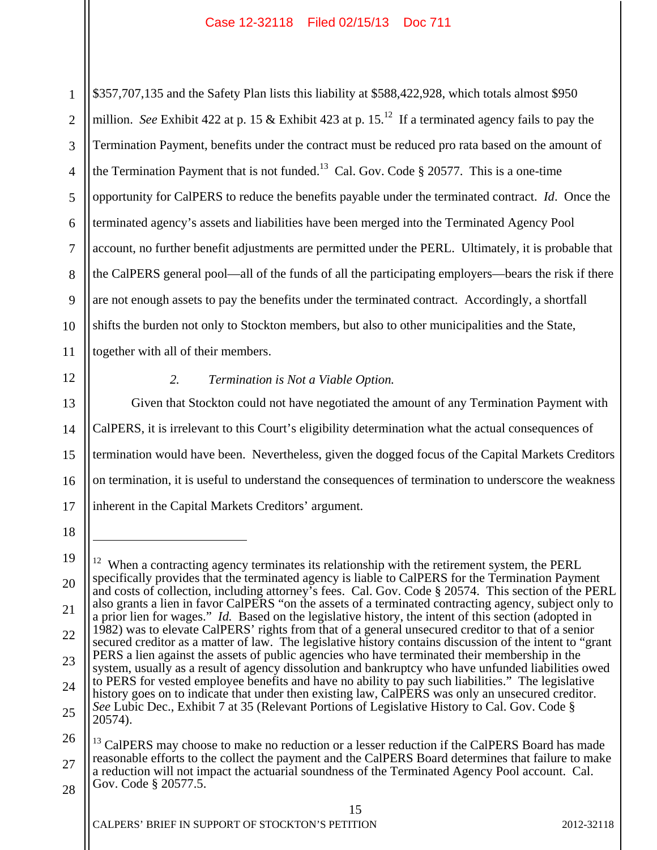1 2 3 4 5 6 7 8 9 10 11 \$357,707,135 and the Safety Plan lists this liability at \$588,422,928, which totals almost \$950 million. *See* Exhibit 422 at p. 15 & Exhibit 423 at p. 15.<sup>12</sup> If a terminated agency fails to pay the Termination Payment, benefits under the contract must be reduced pro rata based on the amount of the Termination Payment that is not funded.<sup>13</sup> Cal. Gov. Code  $\S 20577$ . This is a one-time opportunity for CalPERS to reduce the benefits payable under the terminated contract. *Id*. Once the terminated agency's assets and liabilities have been merged into the Terminated Agency Pool account, no further benefit adjustments are permitted under the PERL. Ultimately, it is probable that the CalPERS general pool—all of the funds of all the participating employers—bears the risk if there are not enough assets to pay the benefits under the terminated contract. Accordingly, a shortfall shifts the burden not only to Stockton members, but also to other municipalities and the State, together with all of their members.

12

13

14

15

16

17

### *2. Termination is Not a Viable Option.*

Given that Stockton could not have negotiated the amount of any Termination Payment with CalPERS, it is irrelevant to this Court's eligibility determination what the actual consequences of termination would have been. Nevertheless, given the dogged focus of the Capital Markets Creditors on termination, it is useful to understand the consequences of termination to underscore the weakness inherent in the Capital Markets Creditors' argument.

 $\overline{a}$ 

<sup>18</sup> 

<sup>19</sup>  20 21 22 23 24 25 26  $12$  When a contracting agency terminates its relationship with the retirement system, the PERL specifically provides that the terminated agency is liable to CalPERS for the Termination Payment and costs of collection, including attorney's fees. Cal. Gov. Code § 20574. This section of the PERL also grants a lien in favor CalPERS "on the assets of a terminated contracting agency, subject only to a prior lien for wages." *Id.* Based on the legislative history, the intent of this section (adopted in 1982) was to elevate CalPERS' rights from that of a general unsecured creditor to that of a senior secured creditor as a matter of law. The legislative history contains discussion of the intent to "grant PERS a lien against the assets of public agencies who have terminated their membership in the system, usually as a result of agency dissolution and bankruptcy who have unfunded liabilities owed to PERS for vested employee benefits and have no ability to pay such liabilities." The legislative history goes on to indicate that under then existing law, CalPERS was only an unsecured creditor. *See* Lubic Dec., Exhibit 7 at 35 (Relevant Portions of Legislative History to Cal. Gov. Code § 20574). <sup>13</sup> CalPERS may choose to make no reduction or a lesser reduction if the CalPERS Board has made

<sup>27</sup>  reasonable efforts to the collect the payment and the CalPERS Board determines that failure to make a reduction will not impact the actuarial soundness of the Terminated Agency Pool account. Cal. Gov. Code § 20577.5.

<sup>28</sup>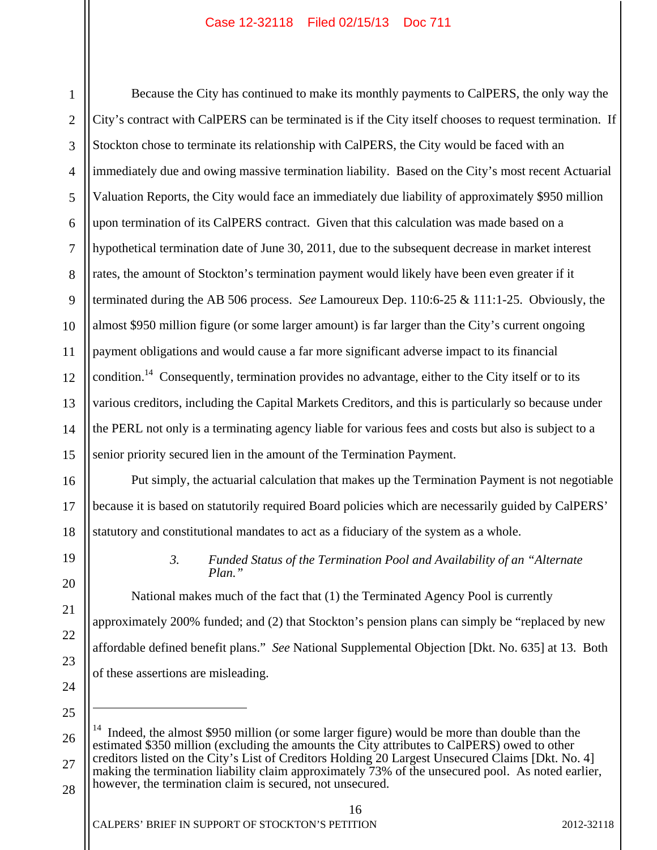1 2 3 4 5 6 7 8 9 10 11 12 13 14 15 Because the City has continued to make its monthly payments to CalPERS, the only way the City's contract with CalPERS can be terminated is if the City itself chooses to request termination. If Stockton chose to terminate its relationship with CalPERS, the City would be faced with an immediately due and owing massive termination liability. Based on the City's most recent Actuarial Valuation Reports, the City would face an immediately due liability of approximately \$950 million upon termination of its CalPERS contract. Given that this calculation was made based on a hypothetical termination date of June 30, 2011, due to the subsequent decrease in market interest rates, the amount of Stockton's termination payment would likely have been even greater if it terminated during the AB 506 process. *See* Lamoureux Dep. 110:6-25 & 111:1-25. Obviously, the almost \$950 million figure (or some larger amount) is far larger than the City's current ongoing payment obligations and would cause a far more significant adverse impact to its financial condition.<sup>14</sup> Consequently, termination provides no advantage, either to the City itself or to its various creditors, including the Capital Markets Creditors, and this is particularly so because under the PERL not only is a terminating agency liable for various fees and costs but also is subject to a senior priority secured lien in the amount of the Termination Payment.

 Put simply, the actuarial calculation that makes up the Termination Payment is not negotiable because it is based on statutorily required Board policies which are necessarily guided by CalPERS' statutory and constitutional mandates to act as a fiduciary of the system as a whole.

19

20

21

22

23

24

25

16

17

18

### *3. Funded Status of the Termination Pool and Availability of an "Alternate Plan."*

National makes much of the fact that (1) the Terminated Agency Pool is currently approximately 200% funded; and (2) that Stockton's pension plans can simply be "replaced by new affordable defined benefit plans." *See* National Supplemental Objection [Dkt. No. 635] at 13. Both of these assertions are misleading.

26 27 <sup>14</sup> Indeed, the almost \$950 million (or some larger figure) would be more than double than the estimated \$350 million (excluding the amounts the City attributes to CalPERS) owed to other creditors listed on the City's List of Creditors Holding 20 Largest Unsecured Claims [Dkt. No. 4] making the termination liability claim approximately 73% of the unsecured pool. As noted earlier, however, the termination claim is secured, not unsecured.

16

28

 $\overline{a}$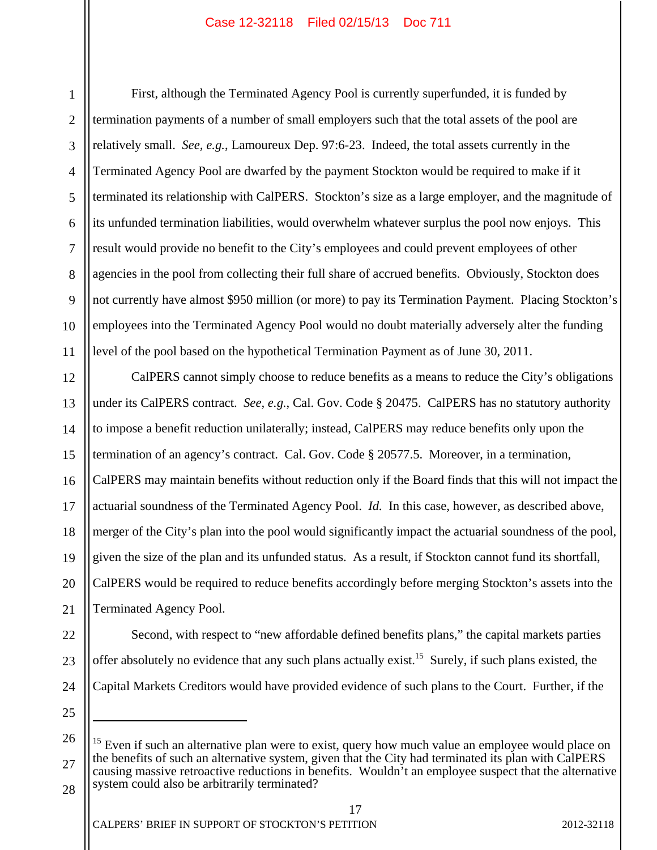1 2 3 4 5 6 7 8 9 10 11 First, although the Terminated Agency Pool is currently superfunded, it is funded by termination payments of a number of small employers such that the total assets of the pool are relatively small. *See, e.g.*, Lamoureux Dep. 97:6-23. Indeed, the total assets currently in the Terminated Agency Pool are dwarfed by the payment Stockton would be required to make if it terminated its relationship with CalPERS. Stockton's size as a large employer, and the magnitude of its unfunded termination liabilities, would overwhelm whatever surplus the pool now enjoys. This result would provide no benefit to the City's employees and could prevent employees of other agencies in the pool from collecting their full share of accrued benefits. Obviously, Stockton does not currently have almost \$950 million (or more) to pay its Termination Payment. Placing Stockton's employees into the Terminated Agency Pool would no doubt materially adversely alter the funding level of the pool based on the hypothetical Termination Payment as of June 30, 2011.

12 13 14 15 16 17 18 19 20 21 CalPERS cannot simply choose to reduce benefits as a means to reduce the City's obligations under its CalPERS contract. *See, e.g.*, Cal. Gov. Code § 20475. CalPERS has no statutory authority to impose a benefit reduction unilaterally; instead, CalPERS may reduce benefits only upon the termination of an agency's contract. Cal. Gov. Code § 20577.5. Moreover, in a termination, CalPERS may maintain benefits without reduction only if the Board finds that this will not impact the actuarial soundness of the Terminated Agency Pool. *Id.* In this case, however, as described above, merger of the City's plan into the pool would significantly impact the actuarial soundness of the pool, given the size of the plan and its unfunded status. As a result, if Stockton cannot fund its shortfall, CalPERS would be required to reduce benefits accordingly before merging Stockton's assets into the Terminated Agency Pool.

Second, with respect to "new affordable defined benefits plans," the capital markets parties

22 23 24

25

 $\overline{a}$ 

offer absolutely no evidence that any such plans actually exist.<sup>15</sup> Surely, if such plans existed, the

Capital Markets Creditors would have provided evidence of such plans to the Court. Further, if the

<sup>26</sup>  27 28  $15$  Even if such an alternative plan were to exist, query how much value an employee would place on the benefits of such an alternative system, given that the City had terminated its plan with CalPERS causing massive retroactive reductions in benefits. Wouldn't an employee suspect that the alternative system could also be arbitrarily terminated?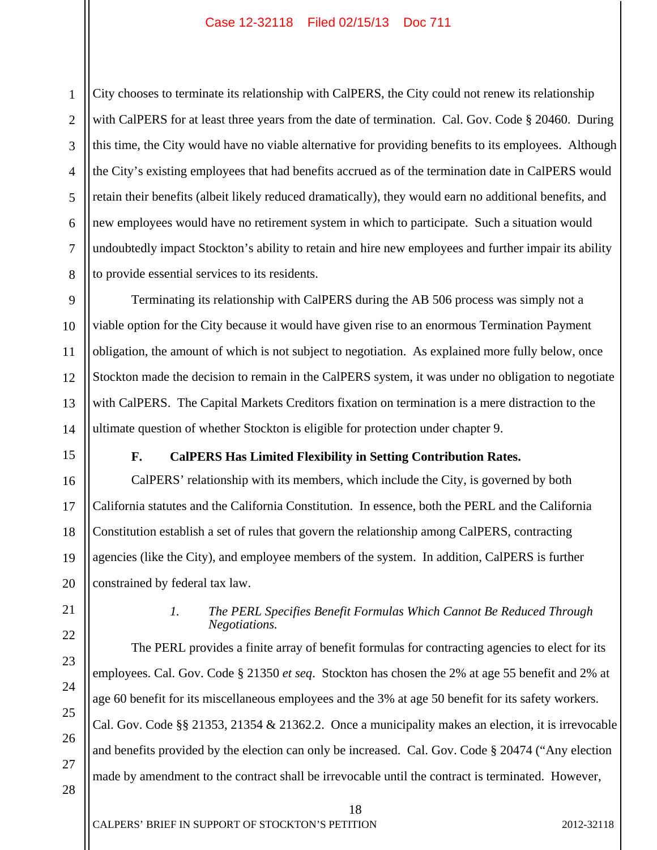1 2 3 4 5 6 7 8 City chooses to terminate its relationship with CalPERS, the City could not renew its relationship with CalPERS for at least three years from the date of termination. Cal. Gov. Code § 20460. During this time, the City would have no viable alternative for providing benefits to its employees. Although the City's existing employees that had benefits accrued as of the termination date in CalPERS would retain their benefits (albeit likely reduced dramatically), they would earn no additional benefits, and new employees would have no retirement system in which to participate. Such a situation would undoubtedly impact Stockton's ability to retain and hire new employees and further impair its ability to provide essential services to its residents.

Terminating its relationship with CalPERS during the AB 506 process was simply not a viable option for the City because it would have given rise to an enormous Termination Payment obligation, the amount of which is not subject to negotiation. As explained more fully below, once Stockton made the decision to remain in the CalPERS system, it was under no obligation to negotiate with CalPERS. The Capital Markets Creditors fixation on termination is a mere distraction to the ultimate question of whether Stockton is eligible for protection under chapter 9.

9

10

11

12

13

14

15

16

17

18

19

20

22

23

24

25

26

27

28

#### **F. CalPERS Has Limited Flexibility in Setting Contribution Rates.**

 CalPERS' relationship with its members, which include the City, is governed by both California statutes and the California Constitution. In essence, both the PERL and the California Constitution establish a set of rules that govern the relationship among CalPERS, contracting agencies (like the City), and employee members of the system. In addition, CalPERS is further constrained by federal tax law.

21

#### *1. The PERL Specifies Benefit Formulas Which Cannot Be Reduced Through Negotiations.*

 The PERL provides a finite array of benefit formulas for contracting agencies to elect for its employees. Cal. Gov. Code § 21350 *et seq*. Stockton has chosen the 2% at age 55 benefit and 2% at age 60 benefit for its miscellaneous employees and the 3% at age 50 benefit for its safety workers. Cal. Gov. Code §§ 21353, 21354 & 21362.2. Once a municipality makes an election, it is irrevocable and benefits provided by the election can only be increased. Cal. Gov. Code § 20474 ("Any election made by amendment to the contract shall be irrevocable until the contract is terminated. However,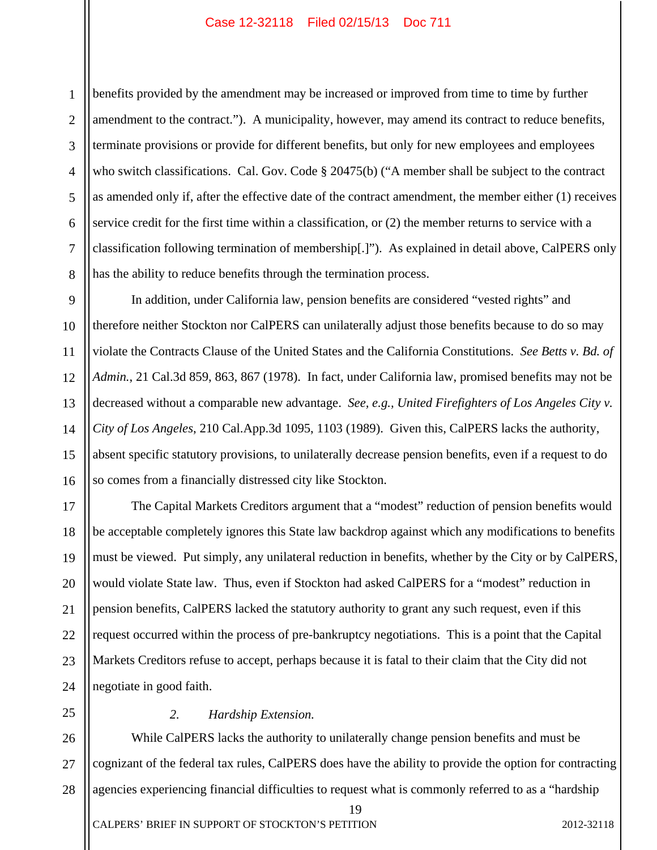1 2 3 4 5 6 7 8 benefits provided by the amendment may be increased or improved from time to time by further amendment to the contract."). A municipality, however, may amend its contract to reduce benefits, terminate provisions or provide for different benefits, but only for new employees and employees who switch classifications. Cal. Gov. Code § 20475(b) ("A member shall be subject to the contract as amended only if, after the effective date of the contract amendment, the member either (1) receives service credit for the first time within a classification, or (2) the member returns to service with a classification following termination of membership[.]"). As explained in detail above, CalPERS only has the ability to reduce benefits through the termination process.

9 10 11 12 13 14 15 16 In addition, under California law, pension benefits are considered "vested rights" and therefore neither Stockton nor CalPERS can unilaterally adjust those benefits because to do so may violate the Contracts Clause of the United States and the California Constitutions. *See Betts v. Bd. of Admin.*, 21 Cal.3d 859, 863, 867 (1978). In fact, under California law, promised benefits may not be decreased without a comparable new advantage. *See, e.g., United Firefighters of Los Angeles City v. City of Los Angeles*, 210 Cal.App.3d 1095, 1103 (1989). Given this, CalPERS lacks the authority, absent specific statutory provisions, to unilaterally decrease pension benefits, even if a request to do so comes from a financially distressed city like Stockton.

17 18 19 20 21 22 23 24 The Capital Markets Creditors argument that a "modest" reduction of pension benefits would be acceptable completely ignores this State law backdrop against which any modifications to benefits must be viewed. Put simply, any unilateral reduction in benefits, whether by the City or by CalPERS, would violate State law. Thus, even if Stockton had asked CalPERS for a "modest" reduction in pension benefits, CalPERS lacked the statutory authority to grant any such request, even if this request occurred within the process of pre-bankruptcy negotiations. This is a point that the Capital Markets Creditors refuse to accept, perhaps because it is fatal to their claim that the City did not negotiate in good faith.

#### *2. Hardship Extension.*

25

26 27 28 While CalPERS lacks the authority to unilaterally change pension benefits and must be cognizant of the federal tax rules, CalPERS does have the ability to provide the option for contracting agencies experiencing financial difficulties to request what is commonly referred to as a "hardship

19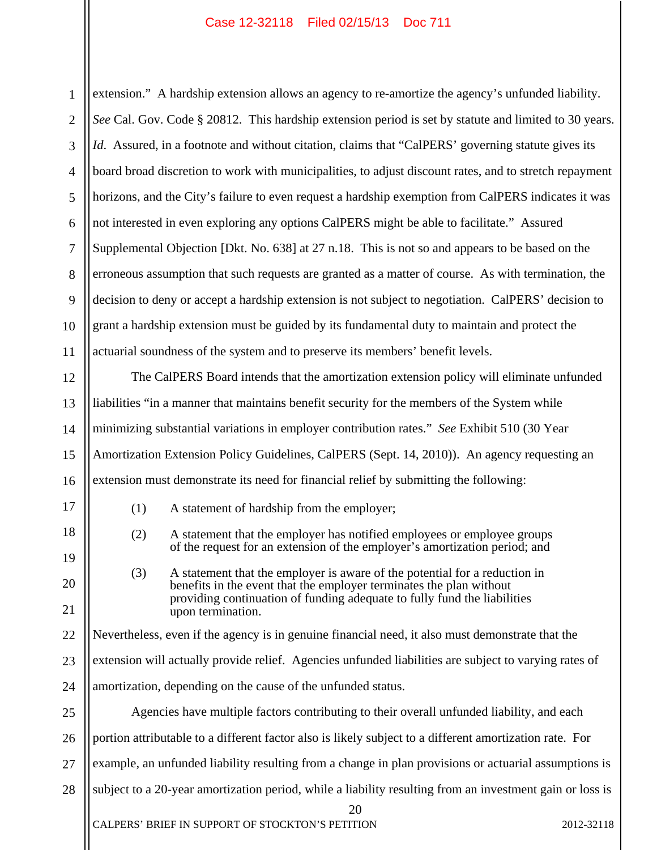| $\mathbf{1}$   | extension." A hardship extension allows an agency to re-amortize the agency's unfunded liability.       |                                                                                                                                                   |            |
|----------------|---------------------------------------------------------------------------------------------------------|---------------------------------------------------------------------------------------------------------------------------------------------------|------------|
| $\overline{2}$ | See Cal. Gov. Code § 20812. This hardship extension period is set by statute and limited to 30 years.   |                                                                                                                                                   |            |
| 3              |                                                                                                         | Id. Assured, in a footnote and without citation, claims that "CalPERS' governing statute gives its                                                |            |
| $\overline{4}$ |                                                                                                         | board broad discretion to work with municipalities, to adjust discount rates, and to stretch repayment                                            |            |
| 5              | horizons, and the City's failure to even request a hardship exemption from CalPERS indicates it was     |                                                                                                                                                   |            |
| 6              | not interested in even exploring any options CalPERS might be able to facilitate." Assured              |                                                                                                                                                   |            |
| $\tau$         | Supplemental Objection [Dkt. No. 638] at 27 n.18. This is not so and appears to be based on the         |                                                                                                                                                   |            |
| 8              | erroneous assumption that such requests are granted as a matter of course. As with termination, the     |                                                                                                                                                   |            |
| 9              | decision to deny or accept a hardship extension is not subject to negotiation. CalPERS' decision to     |                                                                                                                                                   |            |
| 10             | grant a hardship extension must be guided by its fundamental duty to maintain and protect the           |                                                                                                                                                   |            |
| 11             | actuarial soundness of the system and to preserve its members' benefit levels.                          |                                                                                                                                                   |            |
| 12             | The CalPERS Board intends that the amortization extension policy will eliminate unfunded                |                                                                                                                                                   |            |
| 13             | liabilities "in a manner that maintains benefit security for the members of the System while            |                                                                                                                                                   |            |
| 14             | minimizing substantial variations in employer contribution rates." See Exhibit 510 (30 Year             |                                                                                                                                                   |            |
| 15             | Amortization Extension Policy Guidelines, CalPERS (Sept. 14, 2010)). An agency requesting an            |                                                                                                                                                   |            |
| 16             | extension must demonstrate its need for financial relief by submitting the following:                   |                                                                                                                                                   |            |
| 17             | (1)                                                                                                     | A statement of hardship from the employer;                                                                                                        |            |
| 18             | (2)                                                                                                     | A statement that the employer has notified employees or employee groups                                                                           |            |
| 19             |                                                                                                         | of the request for an extension of the employer's amortization period; and                                                                        |            |
| 20             | (3)                                                                                                     | A statement that the employer is aware of the potential for a reduction in<br>benefits in the event that the employer terminates the plan without |            |
| 21             |                                                                                                         | providing continuation of funding adequate to fully fund the liabilities<br>upon termination.                                                     |            |
| 22             | Nevertheless, even if the agency is in genuine financial need, it also must demonstrate that the        |                                                                                                                                                   |            |
| 23             | extension will actually provide relief. Agencies unfunded liabilities are subject to varying rates of   |                                                                                                                                                   |            |
| 24             | amortization, depending on the cause of the unfunded status.                                            |                                                                                                                                                   |            |
| 25             | Agencies have multiple factors contributing to their overall unfunded liability, and each               |                                                                                                                                                   |            |
| 26             | portion attributable to a different factor also is likely subject to a different amortization rate. For |                                                                                                                                                   |            |
| 27             | example, an unfunded liability resulting from a change in plan provisions or actuarial assumptions is   |                                                                                                                                                   |            |
| 28             |                                                                                                         | subject to a 20-year amortization period, while a liability resulting from an investment gain or loss is                                          |            |
|                |                                                                                                         | 20<br>CALPERS' BRIEF IN SUPPORT OF STOCKTON'S PETITION                                                                                            | 2012-32118 |
|                |                                                                                                         |                                                                                                                                                   |            |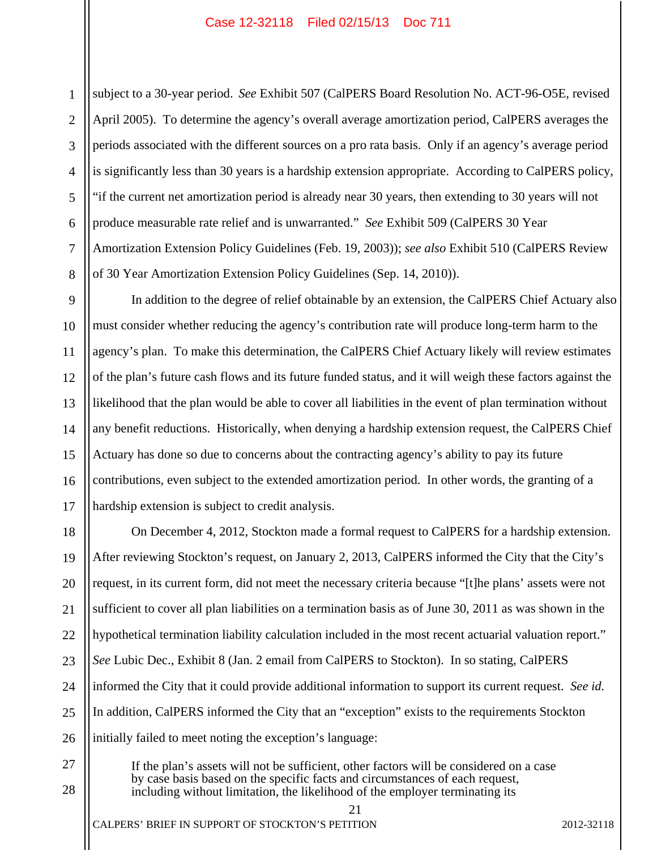1 2 3 4 5 subject to a 30-year period. *See* Exhibit 507 (CalPERS Board Resolution No. ACT-96-O5E, revised April 2005). To determine the agency's overall average amortization period, CalPERS averages the periods associated with the different sources on a pro rata basis. Only if an agency's average period is significantly less than 30 years is a hardship extension appropriate. According to CalPERS policy, "if the current net amortization period is already near 30 years, then extending to 30 years will not produce measurable rate relief and is unwarranted." *See* Exhibit 509 (CalPERS 30 Year Amortization Extension Policy Guidelines (Feb. 19, 2003)); *see also* Exhibit 510 (CalPERS Review of 30 Year Amortization Extension Policy Guidelines (Sep. 14, 2010)).

In addition to the degree of relief obtainable by an extension, the CalPERS Chief Actuary also must consider whether reducing the agency's contribution rate will produce long-term harm to the agency's plan. To make this determination, the CalPERS Chief Actuary likely will review estimates of the plan's future cash flows and its future funded status, and it will weigh these factors against the likelihood that the plan would be able to cover all liabilities in the event of plan termination without any benefit reductions. Historically, when denying a hardship extension request, the CalPERS Chief Actuary has done so due to concerns about the contracting agency's ability to pay its future contributions, even subject to the extended amortization period. In other words, the granting of a hardship extension is subject to credit analysis.

On December 4, 2012, Stockton made a formal request to CalPERS for a hardship extension. After reviewing Stockton's request, on January 2, 2013, CalPERS informed the City that the City's request, in its current form, did not meet the necessary criteria because "[t]he plans' assets were not sufficient to cover all plan liabilities on a termination basis as of June 30, 2011 as was shown in the hypothetical termination liability calculation included in the most recent actuarial valuation report." *See* Lubic Dec., Exhibit 8 (Jan. 2 email from CalPERS to Stockton). In so stating, CalPERS informed the City that it could provide additional information to support its current request. *See id.* In addition, CalPERS informed the City that an "exception" exists to the requirements Stockton initially failed to meet noting the exception's language:

If the plan's assets will not be sufficient, other factors will be considered on a case by case basis based on the specific facts and circumstances of each request, including without limitation, the likelihood of the employer terminating its

28

 $21$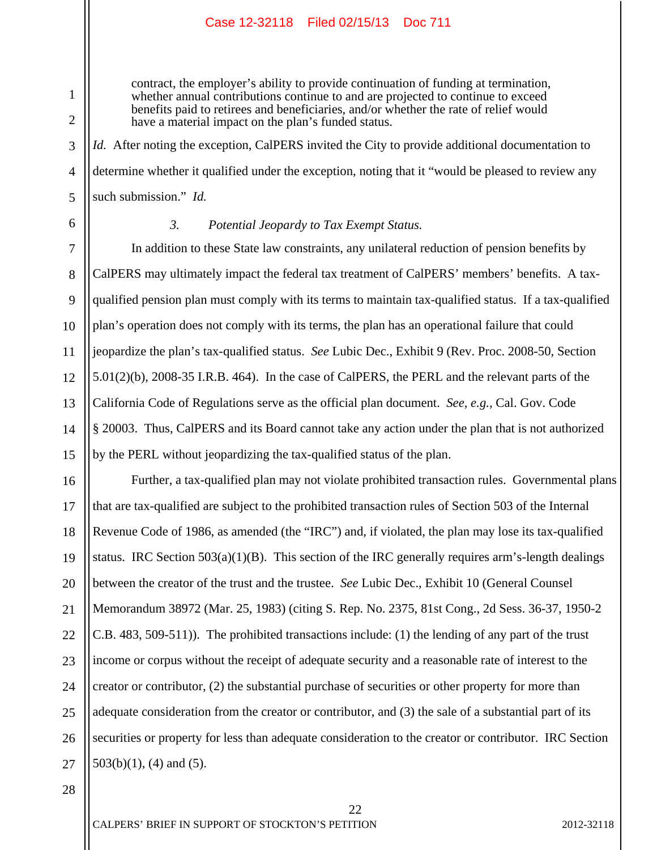contract, the employer's ability to provide continuation of funding at termination, whether annual contributions continue to and are projected to continue to exceed benefits paid to retirees and beneficiaries, and/or whether the rate of relief would have a material impact on the plan's funded status.

*Id.* After noting the exception, CalPERS invited the City to provide additional documentation to determine whether it qualified under the exception, noting that it "would be pleased to review any such submission." *Id.*

6

7

8

9

10

11

12

13

14

15

1

2

3

4

5

#### *3. Potential Jeopardy to Tax Exempt Status.*

 In addition to these State law constraints, any unilateral reduction of pension benefits by CalPERS may ultimately impact the federal tax treatment of CalPERS' members' benefits. A taxqualified pension plan must comply with its terms to maintain tax-qualified status. If a tax-qualified plan's operation does not comply with its terms, the plan has an operational failure that could jeopardize the plan's tax-qualified status. *See* Lubic Dec., Exhibit 9 (Rev. Proc. 2008-50, Section 5.01(2)(b), 2008-35 I.R.B. 464). In the case of CalPERS, the PERL and the relevant parts of the California Code of Regulations serve as the official plan document. *See, e.g.*, Cal. Gov. Code § 20003. Thus, CalPERS and its Board cannot take any action under the plan that is not authorized by the PERL without jeopardizing the tax-qualified status of the plan.

16 17 18 19 20 21 22 23 24 25 26 27 Further, a tax-qualified plan may not violate prohibited transaction rules. Governmental plans that are tax-qualified are subject to the prohibited transaction rules of Section 503 of the Internal Revenue Code of 1986, as amended (the "IRC") and, if violated, the plan may lose its tax-qualified status. IRC Section  $503(a)(1)(B)$ . This section of the IRC generally requires arm's-length dealings between the creator of the trust and the trustee. *See* Lubic Dec., Exhibit 10 (General Counsel Memorandum 38972 (Mar. 25, 1983) (citing S. Rep. No. 2375, 81st Cong., 2d Sess. 36-37, 1950-2 C.B. 483, 509-511)). The prohibited transactions include: (1) the lending of any part of the trust income or corpus without the receipt of adequate security and a reasonable rate of interest to the creator or contributor, (2) the substantial purchase of securities or other property for more than adequate consideration from the creator or contributor, and (3) the sale of a substantial part of its securities or property for less than adequate consideration to the creator or contributor. IRC Section 503(b)(1), (4) and (5).

22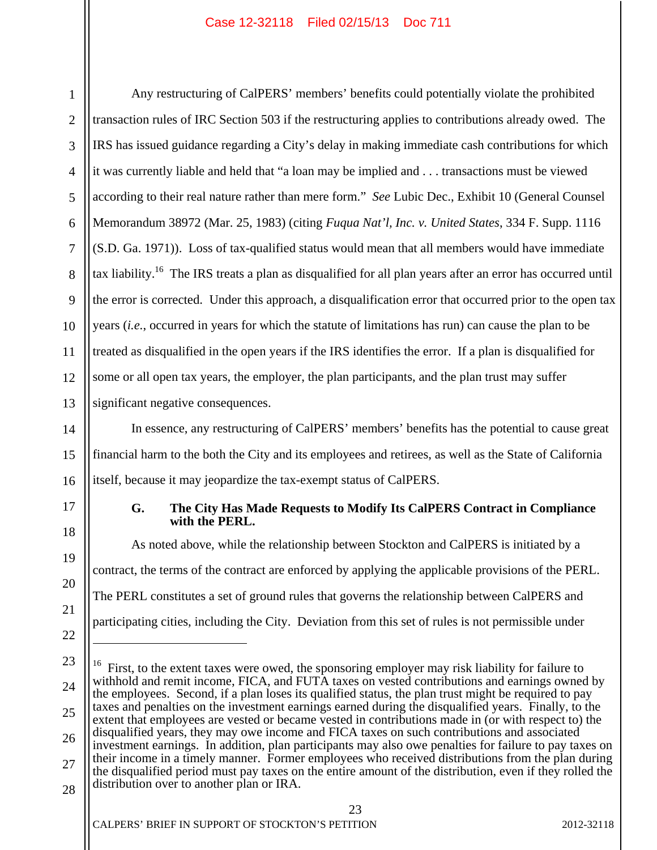1 2 3 4 5 6 7 8 9 10 11 12 13 Any restructuring of CalPERS' members' benefits could potentially violate the prohibited transaction rules of IRC Section 503 if the restructuring applies to contributions already owed. The IRS has issued guidance regarding a City's delay in making immediate cash contributions for which it was currently liable and held that "a loan may be implied and . . . transactions must be viewed according to their real nature rather than mere form." *See* Lubic Dec., Exhibit 10 (General Counsel Memorandum 38972 (Mar. 25, 1983) (citing *Fuqua Nat'l, Inc. v. United States*, 334 F. Supp. 1116 (S.D. Ga. 1971)). Loss of tax-qualified status would mean that all members would have immediate tax liability.16 The IRS treats a plan as disqualified for all plan years after an error has occurred until the error is corrected. Under this approach, a disqualification error that occurred prior to the open tax years (*i.e.*, occurred in years for which the statute of limitations has run) can cause the plan to be treated as disqualified in the open years if the IRS identifies the error. If a plan is disqualified for some or all open tax years, the employer, the plan participants, and the plan trust may suffer significant negative consequences.

14 15 16 In essence, any restructuring of CalPERS' members' benefits has the potential to cause great financial harm to the both the City and its employees and retirees, as well as the State of California itself, because it may jeopardize the tax-exempt status of CalPERS.

# 17

18

19

20

21

22

 $\overline{a}$ 

#### **G. The City Has Made Requests to Modify Its CalPERS Contract in Compliance with the PERL.**

As noted above, while the relationship between Stockton and CalPERS is initiated by a contract, the terms of the contract are enforced by applying the applicable provisions of the PERL. The PERL constitutes a set of ground rules that governs the relationship between CalPERS and participating cities, including the City. Deviation from this set of rules is not permissible under

<sup>23</sup>  24 25 26 27 28 <sup>16</sup> First, to the extent taxes were owed, the sponsoring employer may risk liability for failure to withhold and remit income, FICA, and FUTA taxes on vested contributions and earnings owned by the employees. Second, if a plan loses its qualified status, the plan trust might be required to pay taxes and penalties on the investment earnings earned during the disqualified years. Finally, to the extent that employees are vested or became vested in contributions made in (or with respect to) the disqualified years, they may owe income and FICA taxes on such contributions and associated investment earnings. In addition, plan participants may also owe penalties for failure to pay taxes on their income in a timely manner. Former employees who received distributions from the plan during the disqualified period must pay taxes on the entire amount of the distribution, even if they rolled the distribution over to another plan or IRA.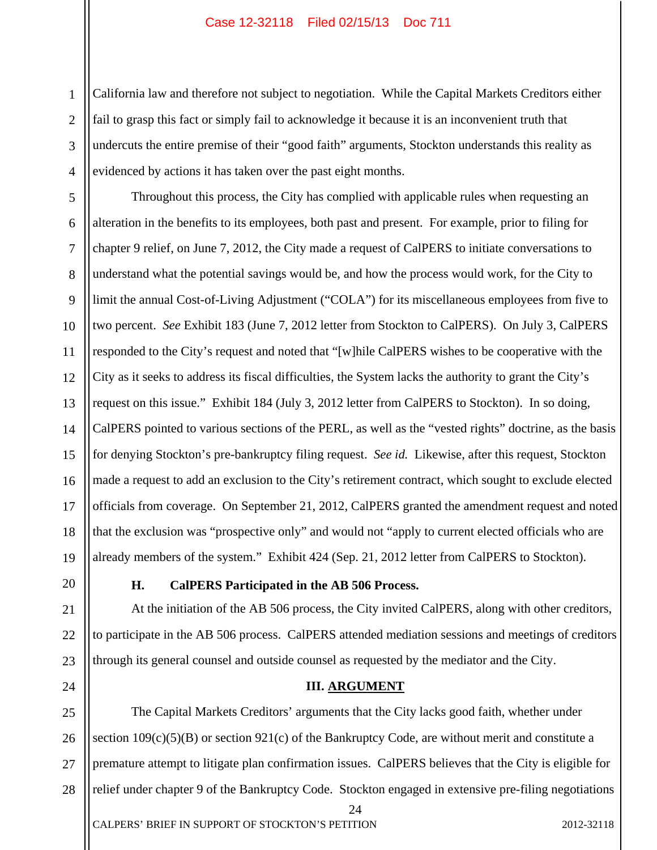1 2 3 4 California law and therefore not subject to negotiation. While the Capital Markets Creditors either fail to grasp this fact or simply fail to acknowledge it because it is an inconvenient truth that undercuts the entire premise of their "good faith" arguments, Stockton understands this reality as evidenced by actions it has taken over the past eight months.

5 6 7 8 9 10 11 12 13 14 15 16 17 18 19 Throughout this process, the City has complied with applicable rules when requesting an alteration in the benefits to its employees, both past and present. For example, prior to filing for chapter 9 relief, on June 7, 2012, the City made a request of CalPERS to initiate conversations to understand what the potential savings would be, and how the process would work, for the City to limit the annual Cost-of-Living Adjustment ("COLA") for its miscellaneous employees from five to two percent. *See* Exhibit 183 (June 7, 2012 letter from Stockton to CalPERS). On July 3, CalPERS responded to the City's request and noted that "[w]hile CalPERS wishes to be cooperative with the City as it seeks to address its fiscal difficulties, the System lacks the authority to grant the City's request on this issue." Exhibit 184 (July 3, 2012 letter from CalPERS to Stockton). In so doing, CalPERS pointed to various sections of the PERL, as well as the "vested rights" doctrine, as the basis for denying Stockton's pre-bankruptcy filing request. *See id.* Likewise, after this request, Stockton made a request to add an exclusion to the City's retirement contract, which sought to exclude elected officials from coverage. On September 21, 2012, CalPERS granted the amendment request and noted that the exclusion was "prospective only" and would not "apply to current elected officials who are already members of the system." Exhibit 424 (Sep. 21, 2012 letter from CalPERS to Stockton).

20

21

22

23

24

#### **H. CalPERS Participated in the AB 506 Process.**

 At the initiation of the AB 506 process, the City invited CalPERS, along with other creditors, to participate in the AB 506 process. CalPERS attended mediation sessions and meetings of creditors through its general counsel and outside counsel as requested by the mediator and the City.

#### **III. ARGUMENT**

25 26 27 28 The Capital Markets Creditors' arguments that the City lacks good faith, whether under section 109(c)(5)(B) or section 921(c) of the Bankruptcy Code, are without merit and constitute a premature attempt to litigate plan confirmation issues. CalPERS believes that the City is eligible for relief under chapter 9 of the Bankruptcy Code. Stockton engaged in extensive pre-filing negotiations

24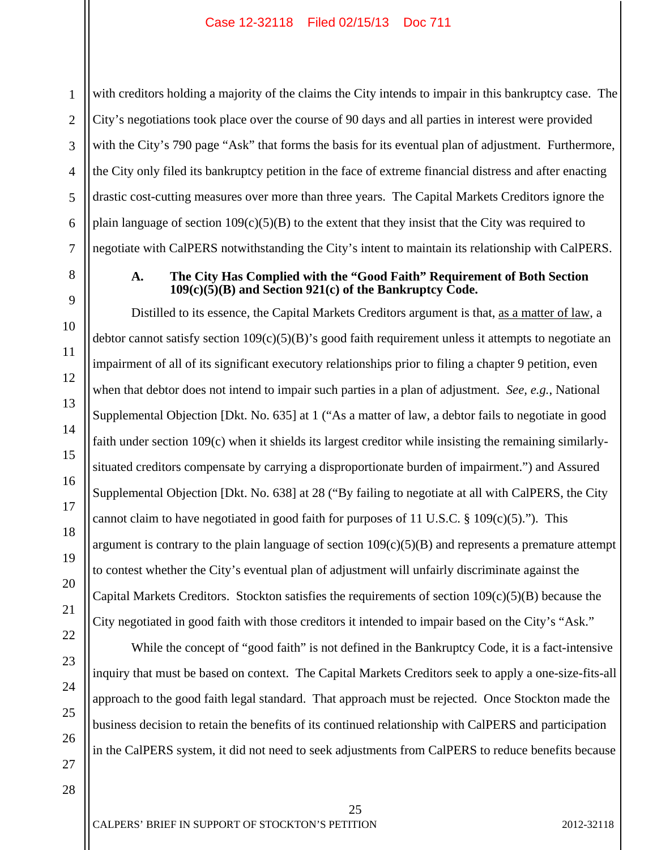1 2 3 4 with creditors holding a majority of the claims the City intends to impair in this bankruptcy case. The City's negotiations took place over the course of 90 days and all parties in interest were provided with the City's 790 page "Ask" that forms the basis for its eventual plan of adjustment. Furthermore, the City only filed its bankruptcy petition in the face of extreme financial distress and after enacting drastic cost-cutting measures over more than three years. The Capital Markets Creditors ignore the plain language of section  $109(c)(5)(B)$  to the extent that they insist that the City was required to negotiate with CalPERS notwithstanding the City's intent to maintain its relationship with CalPERS.

#### **A. The City Has Complied with the "Good Faith" Requirement of Both Section 109(c)(5)(B) and Section 921(c) of the Bankruptcy Code.**

Distilled to its essence, the Capital Markets Creditors argument is that, as a matter of law, a debtor cannot satisfy section 109(c)(5)(B)'s good faith requirement unless it attempts to negotiate an impairment of all of its significant executory relationships prior to filing a chapter 9 petition, even when that debtor does not intend to impair such parties in a plan of adjustment. *See, e.g.*, National Supplemental Objection [Dkt. No. 635] at 1 ("As a matter of law, a debtor fails to negotiate in good faith under section 109(c) when it shields its largest creditor while insisting the remaining similarlysituated creditors compensate by carrying a disproportionate burden of impairment.") and Assured Supplemental Objection [Dkt. No. 638] at 28 ("By failing to negotiate at all with CalPERS, the City cannot claim to have negotiated in good faith for purposes of 11 U.S.C. § 109(c)(5)."). This argument is contrary to the plain language of section  $109(c)(5)(B)$  and represents a premature attempt to contest whether the City's eventual plan of adjustment will unfairly discriminate against the Capital Markets Creditors. Stockton satisfies the requirements of section 109(c)(5)(B) because the City negotiated in good faith with those creditors it intended to impair based on the City's "Ask."

While the concept of "good faith" is not defined in the Bankruptcy Code, it is a fact-intensive inquiry that must be based on context. The Capital Markets Creditors seek to apply a one-size-fits-all approach to the good faith legal standard. That approach must be rejected. Once Stockton made the business decision to retain the benefits of its continued relationship with CalPERS and participation in the CalPERS system, it did not need to seek adjustments from CalPERS to reduce benefits because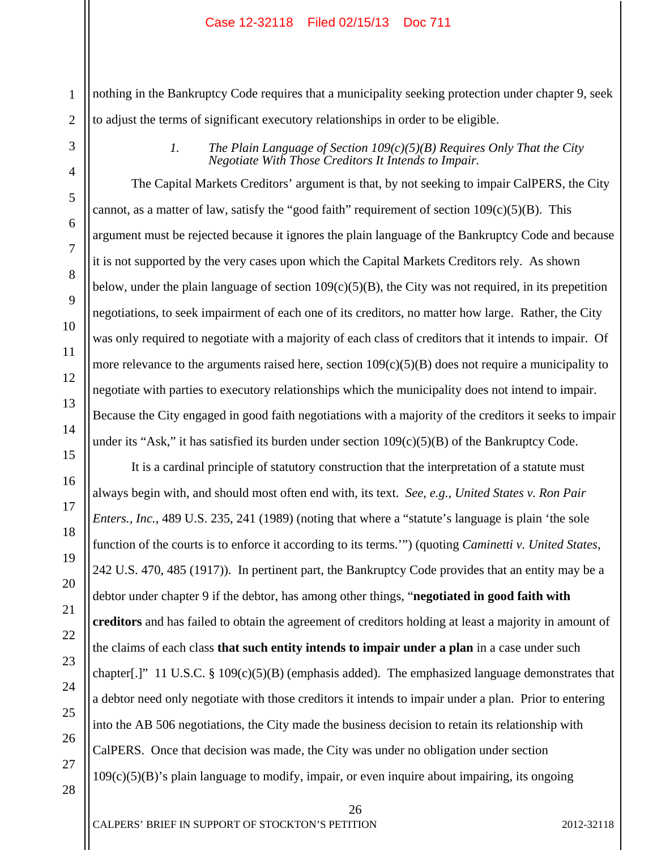nothing in the Bankruptcy Code requires that a municipality seeking protection under chapter 9, seek to adjust the terms of significant executory relationships in order to be eligible.

*1. The Plain Language of Section 109(c)(5)(B) Requires Only That the City Negotiate With Those Creditors It Intends to Impair.* 

The Capital Markets Creditors' argument is that, by not seeking to impair CalPERS, the City cannot, as a matter of law, satisfy the "good faith" requirement of section  $109(c)(5)(B)$ . This argument must be rejected because it ignores the plain language of the Bankruptcy Code and because it is not supported by the very cases upon which the Capital Markets Creditors rely. As shown below, under the plain language of section  $109(c)(5)(B)$ , the City was not required, in its prepetition negotiations, to seek impairment of each one of its creditors, no matter how large. Rather, the City was only required to negotiate with a majority of each class of creditors that it intends to impair. Of more relevance to the arguments raised here, section  $109(c)(5)(B)$  does not require a municipality to negotiate with parties to executory relationships which the municipality does not intend to impair. Because the City engaged in good faith negotiations with a majority of the creditors it seeks to impair under its "Ask," it has satisfied its burden under section  $109(c)(5)(B)$  of the Bankruptcy Code.

It is a cardinal principle of statutory construction that the interpretation of a statute must always begin with, and should most often end with, its text. *See, e.g.*, *United States v. Ron Pair Enters., Inc.*, 489 U.S. 235, 241 (1989) (noting that where a "statute's language is plain 'the sole function of the courts is to enforce it according to its terms.'") (quoting *Caminetti v. United States*, 242 U.S. 470, 485 (1917)). In pertinent part, the Bankruptcy Code provides that an entity may be a debtor under chapter 9 if the debtor, has among other things, "**negotiated in good faith with creditors** and has failed to obtain the agreement of creditors holding at least a majority in amount of the claims of each class **that such entity intends to impair under a plan** in a case under such chapter[.]" 11 U.S.C. § 109(c)(5)(B) (emphasis added). The emphasized language demonstrates that a debtor need only negotiate with those creditors it intends to impair under a plan. Prior to entering into the AB 506 negotiations, the City made the business decision to retain its relationship with CalPERS. Once that decision was made, the City was under no obligation under section 109(c)(5)(B)'s plain language to modify, impair, or even inquire about impairing, its ongoing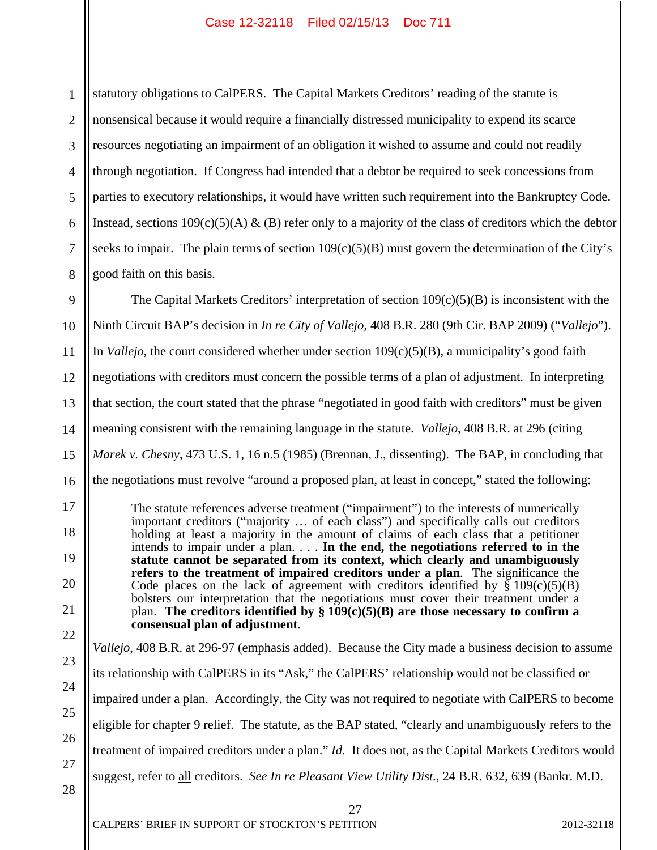1 2 3 4 5 6 7 8 statutory obligations to CalPERS. The Capital Markets Creditors' reading of the statute is nonsensical because it would require a financially distressed municipality to expend its scarce resources negotiating an impairment of an obligation it wished to assume and could not readily through negotiation. If Congress had intended that a debtor be required to seek concessions from parties to executory relationships, it would have written such requirement into the Bankruptcy Code. Instead, sections  $109(c)(5)(A)$  & (B) refer only to a majority of the class of creditors which the debtor seeks to impair. The plain terms of section  $109(c)(5)(B)$  must govern the determination of the City's good faith on this basis.

9 10 11 12 13 14 15 16 The Capital Markets Creditors' interpretation of section  $109(c)(5)(B)$  is inconsistent with the Ninth Circuit BAP's decision in *In re City of Vallejo*, 408 B.R. 280 (9th Cir. BAP 2009) ("*Vallejo*"). In *Vallejo*, the court considered whether under section  $109(c)(5)(B)$ , a municipality's good faith negotiations with creditors must concern the possible terms of a plan of adjustment. In interpreting that section, the court stated that the phrase "negotiated in good faith with creditors" must be given meaning consistent with the remaining language in the statute. *Vallejo*, 408 B.R. at 296 (citing *Marek v. Chesny*, 473 U.S. 1, 16 n.5 (1985) (Brennan, J., dissenting). The BAP, in concluding that the negotiations must revolve "around a proposed plan, at least in concept," stated the following:

The statute references adverse treatment ("impairment") to the interests of numerically important creditors ("majority … of each class") and specifically calls out creditors holding at least a majority in the amount of claims of each class that a petitioner intends to impair under a plan. . . . **In the end, the negotiations referred to in the statute cannot be separated from its context, which clearly and unambiguously refers to the treatment of impaired creditors under a plan**. The significance the Code places on the lack of agreement with creditors identified by  $\S$  109(c)(5)(B) bolsters our interpretation that the negotiations must cover their treatment under a plan. The creditors identified by  $\S$  109 $(c)(5)(B)$  are those necessary to confirm a **consensual plan of adjustment**.

*Vallejo*, 408 B.R. at 296-97 (emphasis added). Because the City made a business decision to assume its relationship with CalPERS in its "Ask," the CalPERS' relationship would not be classified or impaired under a plan. Accordingly, the City was not required to negotiate with CalPERS to become eligible for chapter 9 relief. The statute, as the BAP stated, "clearly and unambiguously refers to the treatment of impaired creditors under a plan." *Id.* It does not, as the Capital Markets Creditors would suggest, refer to all creditors. *See In re Pleasant View Utility Dist.*, 24 B.R. 632, 639 (Bankr. M.D.

28

17

18

19

20

21

22

23

24

25

26

27

27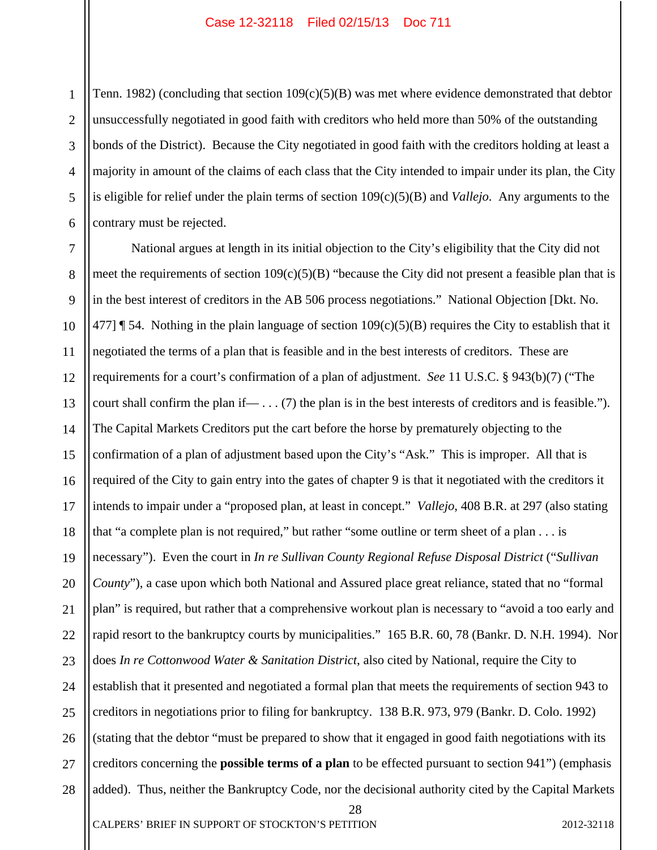1 2 3 4 5 6 Tenn. 1982) (concluding that section 109(c)(5)(B) was met where evidence demonstrated that debtor unsuccessfully negotiated in good faith with creditors who held more than 50% of the outstanding bonds of the District). Because the City negotiated in good faith with the creditors holding at least a majority in amount of the claims of each class that the City intended to impair under its plan, the City is eligible for relief under the plain terms of section 109(c)(5)(B) and *Vallejo*. Any arguments to the contrary must be rejected.

7 8 9 10 11 12 13 14 15 16 17 18 19 20 21 22 23 24 25 26 27 28 National argues at length in its initial objection to the City's eligibility that the City did not meet the requirements of section 109(c)(5)(B) "because the City did not present a feasible plan that is in the best interest of creditors in the AB 506 process negotiations." National Objection [Dkt. No. 477]  $\parallel$  54. Nothing in the plain language of section 109(c)(5)(B) requires the City to establish that it negotiated the terms of a plan that is feasible and in the best interests of creditors. These are requirements for a court's confirmation of a plan of adjustment. *See* 11 U.S.C. § 943(b)(7) ("The court shall confirm the plan if— . . . (7) the plan is in the best interests of creditors and is feasible."). The Capital Markets Creditors put the cart before the horse by prematurely objecting to the confirmation of a plan of adjustment based upon the City's "Ask." This is improper. All that is required of the City to gain entry into the gates of chapter 9 is that it negotiated with the creditors it intends to impair under a "proposed plan, at least in concept." *Vallejo*, 408 B.R. at 297 (also stating that "a complete plan is not required," but rather "some outline or term sheet of a plan . . . is necessary"). Even the court in *In re Sullivan County Regional Refuse Disposal District* ("*Sullivan County*"), a case upon which both National and Assured place great reliance, stated that no "formal plan" is required, but rather that a comprehensive workout plan is necessary to "avoid a too early and rapid resort to the bankruptcy courts by municipalities." 165 B.R. 60, 78 (Bankr. D. N.H. 1994). Nor does *In re Cottonwood Water & Sanitation District*, also cited by National, require the City to establish that it presented and negotiated a formal plan that meets the requirements of section 943 to creditors in negotiations prior to filing for bankruptcy. 138 B.R. 973, 979 (Bankr. D. Colo. 1992) (stating that the debtor "must be prepared to show that it engaged in good faith negotiations with its creditors concerning the **possible terms of a plan** to be effected pursuant to section 941") (emphasis added). Thus, neither the Bankruptcy Code, nor the decisional authority cited by the Capital Markets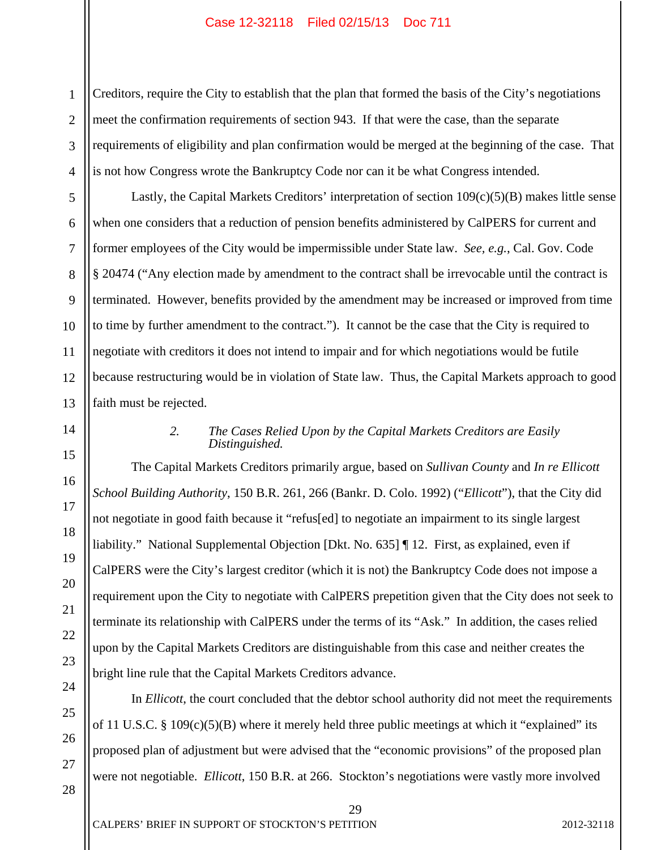1 2 3 4 Creditors, require the City to establish that the plan that formed the basis of the City's negotiations meet the confirmation requirements of section 943. If that were the case, than the separate requirements of eligibility and plan confirmation would be merged at the beginning of the case. That is not how Congress wrote the Bankruptcy Code nor can it be what Congress intended.

 Lastly, the Capital Markets Creditors' interpretation of section 109(c)(5)(B) makes little sense when one considers that a reduction of pension benefits administered by CalPERS for current and former employees of the City would be impermissible under State law. *See, e.g.*, Cal. Gov. Code § 20474 ("Any election made by amendment to the contract shall be irrevocable until the contract is terminated. However, benefits provided by the amendment may be increased or improved from time to time by further amendment to the contract."). It cannot be the case that the City is required to negotiate with creditors it does not intend to impair and for which negotiations would be futile because restructuring would be in violation of State law. Thus, the Capital Markets approach to good faith must be rejected.

#### *2. The Cases Relied Upon by the Capital Markets Creditors are Easily Distinguished.*

The Capital Markets Creditors primarily argue, based on *Sullivan County* and *In re Ellicott School Building Authority*, 150 B.R. 261, 266 (Bankr. D. Colo. 1992) ("*Ellicott*"), that the City did not negotiate in good faith because it "refus[ed] to negotiate an impairment to its single largest liability." National Supplemental Objection [Dkt. No. 635] ¶ 12. First, as explained, even if CalPERS were the City's largest creditor (which it is not) the Bankruptcy Code does not impose a requirement upon the City to negotiate with CalPERS prepetition given that the City does not seek to terminate its relationship with CalPERS under the terms of its "Ask." In addition, the cases relied upon by the Capital Markets Creditors are distinguishable from this case and neither creates the bright line rule that the Capital Markets Creditors advance.

In *Ellicott*, the court concluded that the debtor school authority did not meet the requirements of 11 U.S.C. § 109(c)(5)(B) where it merely held three public meetings at which it "explained" its proposed plan of adjustment but were advised that the "economic provisions" of the proposed plan were not negotiable. *Ellicott*, 150 B.R. at 266. Stockton's negotiations were vastly more involved

5

6

7

8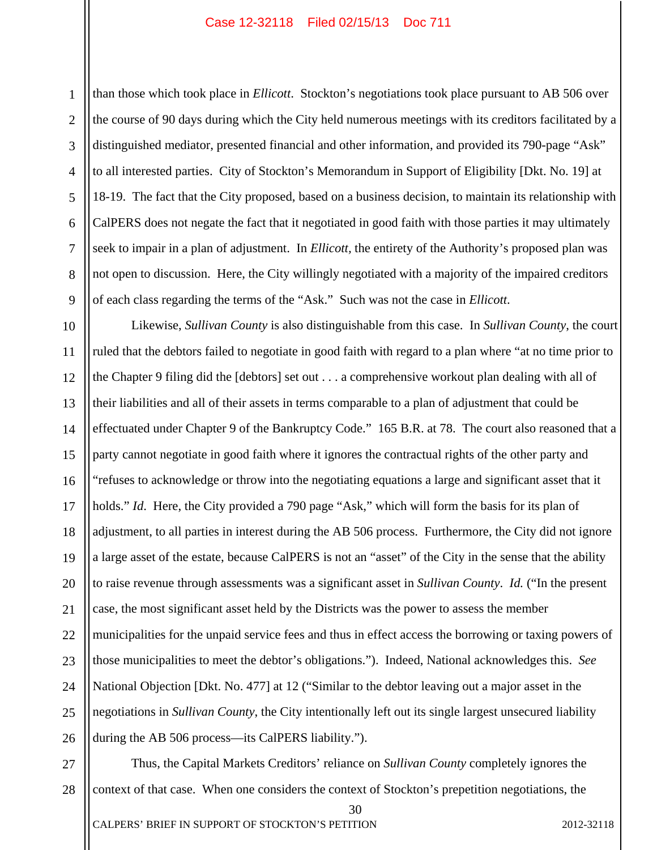1

2

3

5

7

8

9

4 6 than those which took place in *Ellicott*. Stockton's negotiations took place pursuant to AB 506 over the course of 90 days during which the City held numerous meetings with its creditors facilitated by a distinguished mediator, presented financial and other information, and provided its 790-page "Ask" to all interested parties. City of Stockton's Memorandum in Support of Eligibility [Dkt. No. 19] at 18-19. The fact that the City proposed, based on a business decision, to maintain its relationship with CalPERS does not negate the fact that it negotiated in good faith with those parties it may ultimately seek to impair in a plan of adjustment. In *Ellicott,* the entirety of the Authority's proposed plan was not open to discussion. Here, the City willingly negotiated with a majority of the impaired creditors of each class regarding the terms of the "Ask." Such was not the case in *Ellicott*.

10 11 12 13 14 15 16 17 18 19 20 21 22 23 24 25 26 Likewise, *Sullivan County* is also distinguishable from this case. In *Sullivan County*, the court ruled that the debtors failed to negotiate in good faith with regard to a plan where "at no time prior to the Chapter 9 filing did the [debtors] set out . . . a comprehensive workout plan dealing with all of their liabilities and all of their assets in terms comparable to a plan of adjustment that could be effectuated under Chapter 9 of the Bankruptcy Code." 165 B.R. at 78. The court also reasoned that a party cannot negotiate in good faith where it ignores the contractual rights of the other party and "refuses to acknowledge or throw into the negotiating equations a large and significant asset that it holds." *Id.* Here, the City provided a 790 page "Ask," which will form the basis for its plan of adjustment, to all parties in interest during the AB 506 process. Furthermore, the City did not ignore a large asset of the estate, because CalPERS is not an "asset" of the City in the sense that the ability to raise revenue through assessments was a significant asset in *Sullivan County*. *Id.* ("In the present case, the most significant asset held by the Districts was the power to assess the member municipalities for the unpaid service fees and thus in effect access the borrowing or taxing powers of those municipalities to meet the debtor's obligations."). Indeed, National acknowledges this. *See* National Objection [Dkt. No. 477] at 12 ("Similar to the debtor leaving out a major asset in the negotiations in *Sullivan County*, the City intentionally left out its single largest unsecured liability during the AB 506 process—its CalPERS liability.").

27 28 Thus, the Capital Markets Creditors' reliance on *Sullivan County* completely ignores the context of that case. When one considers the context of Stockton's prepetition negotiations, the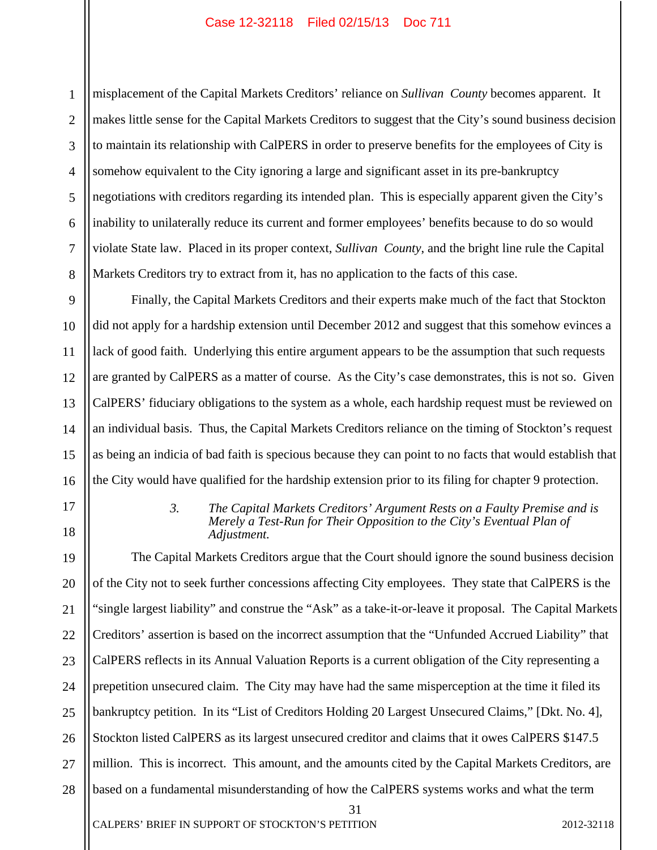1 2 3 4 5 6 7 8 misplacement of the Capital Markets Creditors' reliance on *Sullivan County* becomes apparent. It makes little sense for the Capital Markets Creditors to suggest that the City's sound business decision to maintain its relationship with CalPERS in order to preserve benefits for the employees of City is somehow equivalent to the City ignoring a large and significant asset in its pre-bankruptcy negotiations with creditors regarding its intended plan. This is especially apparent given the City's inability to unilaterally reduce its current and former employees' benefits because to do so would violate State law. Placed in its proper context, *Sullivan County*, and the bright line rule the Capital Markets Creditors try to extract from it, has no application to the facts of this case.

Finally, the Capital Markets Creditors and their experts make much of the fact that Stockton did not apply for a hardship extension until December 2012 and suggest that this somehow evinces a lack of good faith. Underlying this entire argument appears to be the assumption that such requests are granted by CalPERS as a matter of course. As the City's case demonstrates, this is not so. Given CalPERS' fiduciary obligations to the system as a whole, each hardship request must be reviewed on an individual basis. Thus, the Capital Markets Creditors reliance on the timing of Stockton's request as being an indicia of bad faith is specious because they can point to no facts that would establish that the City would have qualified for the hardship extension prior to its filing for chapter 9 protection.

# *3. The Capital Markets Creditors' Argument Rests on a Faulty Premise and is Merely a Test-Run for Their Opposition to the City's Eventual Plan of Adjustment.*

19 20 21 22 23 24 25 26 27 28 The Capital Markets Creditors argue that the Court should ignore the sound business decision of the City not to seek further concessions affecting City employees. They state that CalPERS is the "single largest liability" and construe the "Ask" as a take-it-or-leave it proposal. The Capital Markets Creditors' assertion is based on the incorrect assumption that the "Unfunded Accrued Liability" that CalPERS reflects in its Annual Valuation Reports is a current obligation of the City representing a prepetition unsecured claim. The City may have had the same misperception at the time it filed its bankruptcy petition. In its "List of Creditors Holding 20 Largest Unsecured Claims," [Dkt. No. 4], Stockton listed CalPERS as its largest unsecured creditor and claims that it owes CalPERS \$147.5 million. This is incorrect. This amount, and the amounts cited by the Capital Markets Creditors, are based on a fundamental misunderstanding of how the CalPERS systems works and what the term

31

CALPERS' BRIEF IN SUPPORT OF STOCKTON'S PETITION 2012-32118

9

10

11

12

13

14

15

16

17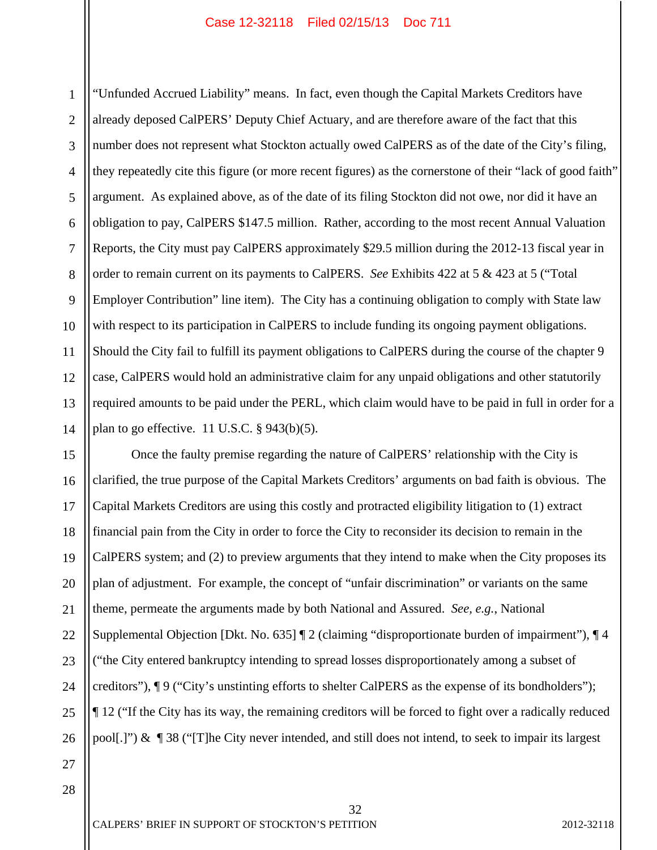1 2 3 4 5 6 7 8 9 10 11 12 13 14 "Unfunded Accrued Liability" means. In fact, even though the Capital Markets Creditors have already deposed CalPERS' Deputy Chief Actuary, and are therefore aware of the fact that this number does not represent what Stockton actually owed CalPERS as of the date of the City's filing, they repeatedly cite this figure (or more recent figures) as the cornerstone of their "lack of good faith" argument. As explained above, as of the date of its filing Stockton did not owe, nor did it have an obligation to pay, CalPERS \$147.5 million. Rather, according to the most recent Annual Valuation Reports, the City must pay CalPERS approximately \$29.5 million during the 2012-13 fiscal year in order to remain current on its payments to CalPERS. *See* Exhibits 422 at 5 & 423 at 5 ("Total Employer Contribution" line item). The City has a continuing obligation to comply with State law with respect to its participation in CalPERS to include funding its ongoing payment obligations. Should the City fail to fulfill its payment obligations to CalPERS during the course of the chapter 9 case, CalPERS would hold an administrative claim for any unpaid obligations and other statutorily required amounts to be paid under the PERL, which claim would have to be paid in full in order for a plan to go effective.  $11$  U.S.C.  $\S$  943(b)(5).

15 16 17 18 19 20 21 22 23 24 25 26 Once the faulty premise regarding the nature of CalPERS' relationship with the City is clarified, the true purpose of the Capital Markets Creditors' arguments on bad faith is obvious. The Capital Markets Creditors are using this costly and protracted eligibility litigation to (1) extract financial pain from the City in order to force the City to reconsider its decision to remain in the CalPERS system; and (2) to preview arguments that they intend to make when the City proposes its plan of adjustment. For example, the concept of "unfair discrimination" or variants on the same theme, permeate the arguments made by both National and Assured. *See, e.g.*, National Supplemental Objection [Dkt. No. 635] ¶ 2 (claiming "disproportionate burden of impairment"), ¶ 4 ("the City entered bankruptcy intending to spread losses disproportionately among a subset of creditors"), ¶ 9 ("City's unstinting efforts to shelter CalPERS as the expense of its bondholders"); ¶ 12 ("If the City has its way, the remaining creditors will be forced to fight over a radically reduced pool[.]") & ¶ 38 ("[T]he City never intended, and still does not intend, to seek to impair its largest

32

CALPERS' BRIEF IN SUPPORT OF STOCKTON'S PETITION 2012-32118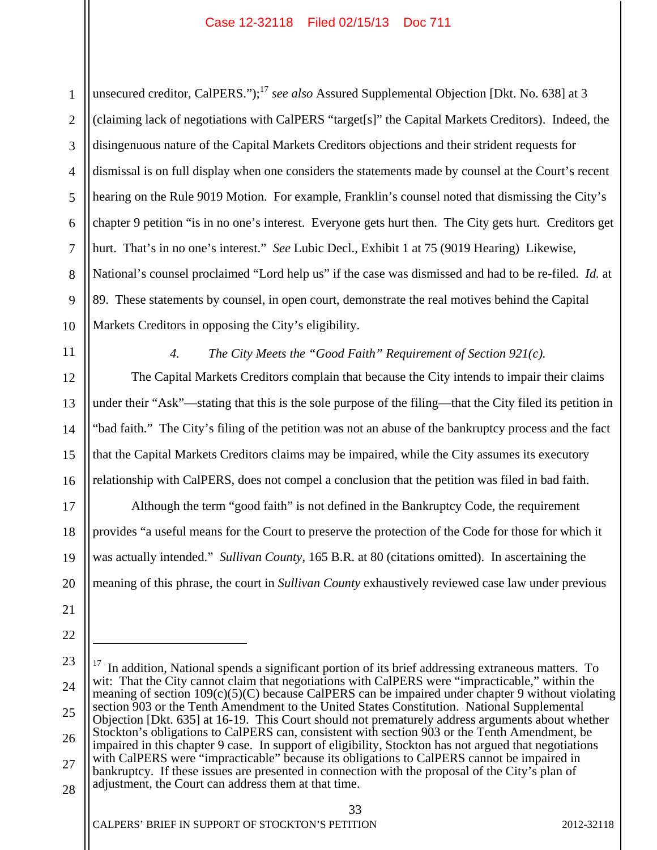1 2 3 4 5 6 7 8 9 10 unsecured creditor, CalPERS.");<sup>17</sup> *see also* Assured Supplemental Objection [Dkt. No. 638] at 3 (claiming lack of negotiations with CalPERS "target[s]" the Capital Markets Creditors). Indeed, the disingenuous nature of the Capital Markets Creditors objections and their strident requests for dismissal is on full display when one considers the statements made by counsel at the Court's recent hearing on the Rule 9019 Motion. For example, Franklin's counsel noted that dismissing the City's chapter 9 petition "is in no one's interest. Everyone gets hurt then. The City gets hurt. Creditors get hurt. That's in no one's interest." *See* Lubic Decl., Exhibit 1 at 75 (9019 Hearing) Likewise, National's counsel proclaimed "Lord help us" if the case was dismissed and had to be re-filed. *Id.* at 89. These statements by counsel, in open court, demonstrate the real motives behind the Capital Markets Creditors in opposing the City's eligibility.

11

12

13

14

15

16

17

18

19

20

21

22

 $\overline{a}$ 

### *4. The City Meets the "Good Faith" Requirement of Section 921(c).*

 The Capital Markets Creditors complain that because the City intends to impair their claims under their "Ask"—stating that this is the sole purpose of the filing—that the City filed its petition in "bad faith." The City's filing of the petition was not an abuse of the bankruptcy process and the fact that the Capital Markets Creditors claims may be impaired, while the City assumes its executory relationship with CalPERS, does not compel a conclusion that the petition was filed in bad faith.

Although the term "good faith" is not defined in the Bankruptcy Code, the requirement provides "a useful means for the Court to preserve the protection of the Code for those for which it was actually intended." *Sullivan County*, 165 B.R. at 80 (citations omitted). In ascertaining the meaning of this phrase, the court in *Sullivan County* exhaustively reviewed case law under previous

<sup>23</sup>  24 25 26 27 28  $17$  In addition, National spends a significant portion of its brief addressing extraneous matters. To wit: That the City cannot claim that negotiations with CalPERS were "impracticable," within the meaning of section 109(c)(5)(C) because CalPERS can be impaired under chapter 9 without violating section 903 or the Tenth Amendment to the United States Constitution. National Supplemental Objection [Dkt. 635] at 16-19. This Court should not prematurely address arguments about whether Stockton's obligations to CalPERS can, consistent with section 903 or the Tenth Amendment, be impaired in this chapter 9 case. In support of eligibility, Stockton has not argued that negotiations with CalPERS were "impracticable" because its obligations to CalPERS cannot be impaired in bankruptcy. If these issues are presented in connection with the proposal of the City's plan of adjustment, the Court can address them at that time.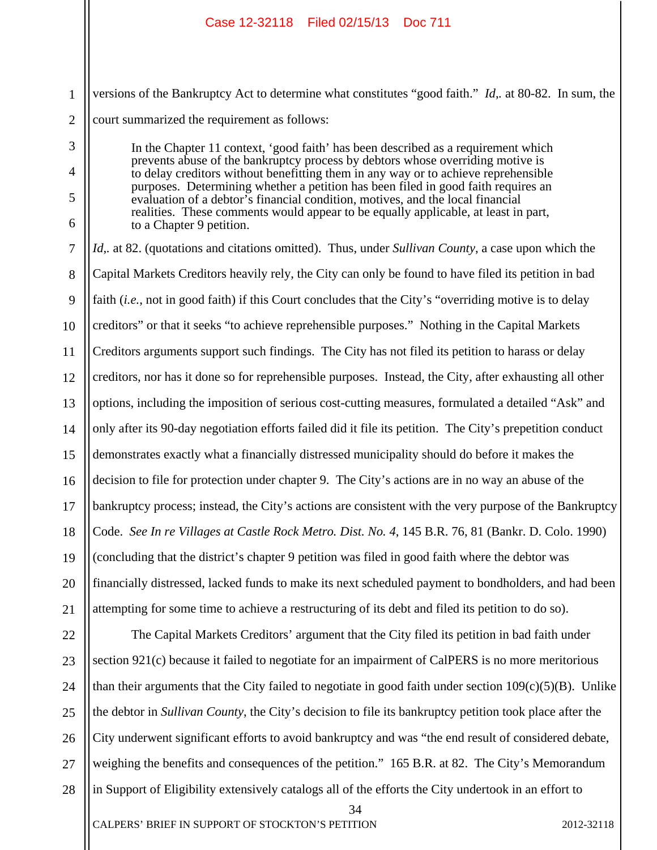1 2 versions of the Bankruptcy Act to determine what constitutes "good faith." *Id*,*.* at 80-82. In sum, the court summarized the requirement as follows:

> In the Chapter 11 context, 'good faith' has been described as a requirement which prevents abuse of the bankruptcy process by debtors whose overriding motive is to delay creditors without benefitting them in any way or to achieve reprehensible purposes. Determining whether a petition has been filed in good faith requires an evaluation of a debtor's financial condition, motives, and the local financial realities. These comments would appear to be equally applicable, at least in part, to a Chapter 9 petition.

3

4

5

6

7 8 9 10 11 12 13 14 15 16 17 18 19 20 21 *Id*,*.* at 82. (quotations and citations omitted). Thus, under *Sullivan County*, a case upon which the Capital Markets Creditors heavily rely, the City can only be found to have filed its petition in bad faith (*i.e.*, not in good faith) if this Court concludes that the City's "overriding motive is to delay creditors" or that it seeks "to achieve reprehensible purposes." Nothing in the Capital Markets Creditors arguments support such findings. The City has not filed its petition to harass or delay creditors, nor has it done so for reprehensible purposes. Instead, the City, after exhausting all other options, including the imposition of serious cost-cutting measures, formulated a detailed "Ask" and only after its 90-day negotiation efforts failed did it file its petition. The City's prepetition conduct demonstrates exactly what a financially distressed municipality should do before it makes the decision to file for protection under chapter 9. The City's actions are in no way an abuse of the bankruptcy process; instead, the City's actions are consistent with the very purpose of the Bankruptcy Code. *See In re Villages at Castle Rock Metro. Dist. No. 4*, 145 B.R. 76, 81 (Bankr. D. Colo. 1990) (concluding that the district's chapter 9 petition was filed in good faith where the debtor was financially distressed, lacked funds to make its next scheduled payment to bondholders, and had been attempting for some time to achieve a restructuring of its debt and filed its petition to do so).

22 23 24 25 26 27 28 The Capital Markets Creditors' argument that the City filed its petition in bad faith under section 921(c) because it failed to negotiate for an impairment of CalPERS is no more meritorious than their arguments that the City failed to negotiate in good faith under section  $109(c)(5)(B)$ . Unlike the debtor in *Sullivan County*, the City's decision to file its bankruptcy petition took place after the City underwent significant efforts to avoid bankruptcy and was "the end result of considered debate, weighing the benefits and consequences of the petition." 165 B.R. at 82. The City's Memorandum in Support of Eligibility extensively catalogs all of the efforts the City undertook in an effort to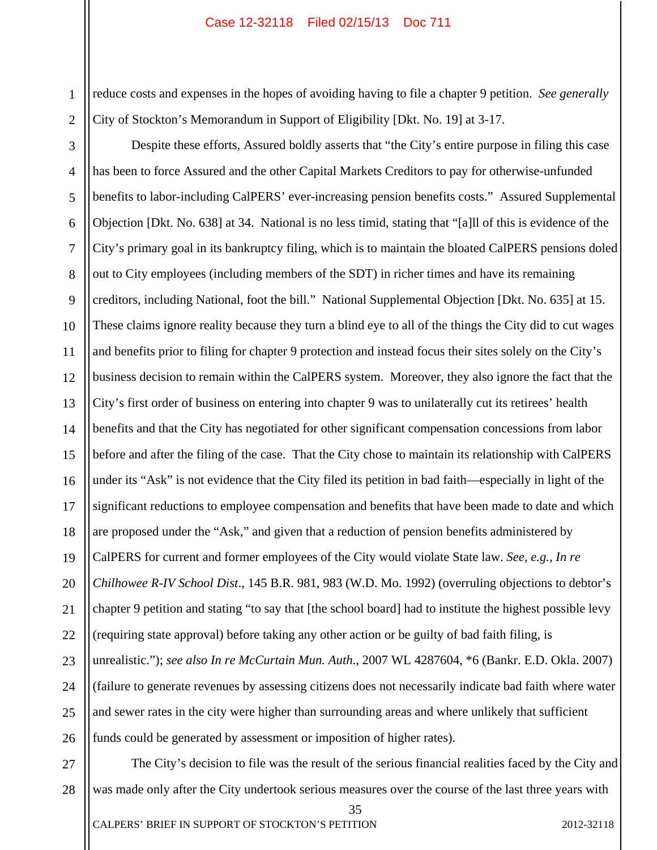1 2 reduce costs and expenses in the hopes of avoiding having to file a chapter 9 petition. *See generally* City of Stockton's Memorandum in Support of Eligibility [Dkt. No. 19] at 3-17.

3 4 5 6 7 8 9 10 11 12 13 14 15 16 17 18 19 20 21 22 23 24 25 26 Despite these efforts, Assured boldly asserts that "the City's entire purpose in filing this case has been to force Assured and the other Capital Markets Creditors to pay for otherwise-unfunded benefits to labor-including CalPERS' ever-increasing pension benefits costs." Assured Supplemental Objection [Dkt. No. 638] at 34. National is no less timid, stating that "[a]ll of this is evidence of the City's primary goal in its bankruptcy filing, which is to maintain the bloated CalPERS pensions doled out to City employees (including members of the SDT) in richer times and have its remaining creditors, including National, foot the bill." National Supplemental Objection [Dkt. No. 635] at 15. These claims ignore reality because they turn a blind eye to all of the things the City did to cut wages and benefits prior to filing for chapter 9 protection and instead focus their sites solely on the City's business decision to remain within the CalPERS system. Moreover, they also ignore the fact that the City's first order of business on entering into chapter 9 was to unilaterally cut its retirees' health benefits and that the City has negotiated for other significant compensation concessions from labor before and after the filing of the case. That the City chose to maintain its relationship with CalPERS under its "Ask" is not evidence that the City filed its petition in bad faith—especially in light of the significant reductions to employee compensation and benefits that have been made to date and which are proposed under the "Ask," and given that a reduction of pension benefits administered by CalPERS for current and former employees of the City would violate State law. *See, e.g.*, *In re Chilhowee R-IV School Dist*., 145 B.R. 981, 983 (W.D. Mo. 1992) (overruling objections to debtor's chapter 9 petition and stating "to say that [the school board] had to institute the highest possible levy (requiring state approval) before taking any other action or be guilty of bad faith filing, is unrealistic."); *see also In re McCurtain Mun. Auth*., 2007 WL 4287604, \*6 (Bankr. E.D. Okla. 2007) (failure to generate revenues by assessing citizens does not necessarily indicate bad faith where water and sewer rates in the city were higher than surrounding areas and where unlikely that sufficient funds could be generated by assessment or imposition of higher rates).

27 28 The City's decision to file was the result of the serious financial realities faced by the City and was made only after the City undertook serious measures over the course of the last three years with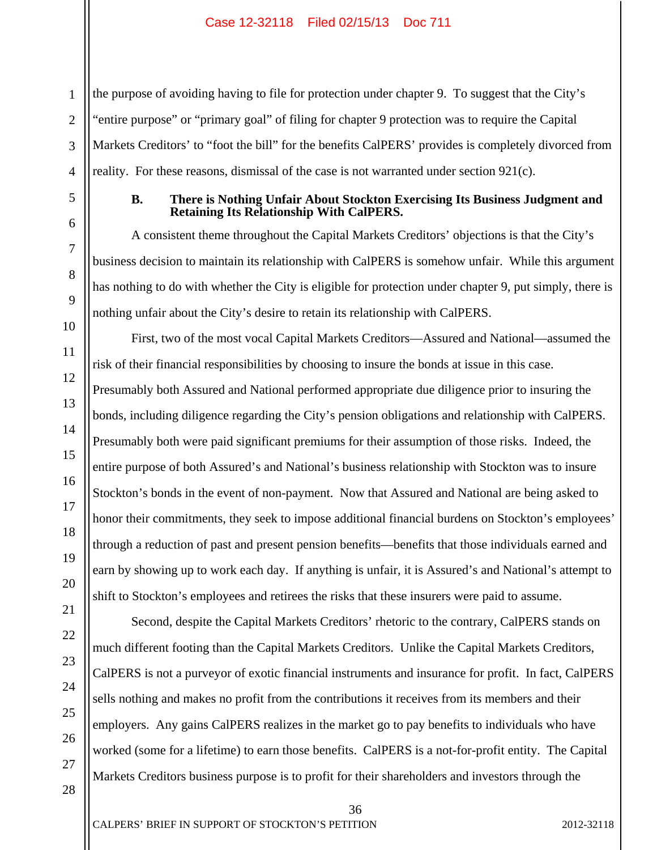the purpose of avoiding having to file for protection under chapter 9. To suggest that the City's "entire purpose" or "primary goal" of filing for chapter 9 protection was to require the Capital Markets Creditors' to "foot the bill" for the benefits CalPERS' provides is completely divorced from reality. For these reasons, dismissal of the case is not warranted under section 921(c).

#### **B. There is Nothing Unfair About Stockton Exercising Its Business Judgment and Retaining Its Relationship With CalPERS.**

A consistent theme throughout the Capital Markets Creditors' objections is that the City's business decision to maintain its relationship with CalPERS is somehow unfair. While this argument has nothing to do with whether the City is eligible for protection under chapter 9, put simply, there is nothing unfair about the City's desire to retain its relationship with CalPERS.

First, two of the most vocal Capital Markets Creditors—Assured and National—assumed the risk of their financial responsibilities by choosing to insure the bonds at issue in this case. Presumably both Assured and National performed appropriate due diligence prior to insuring the bonds, including diligence regarding the City's pension obligations and relationship with CalPERS. Presumably both were paid significant premiums for their assumption of those risks. Indeed, the entire purpose of both Assured's and National's business relationship with Stockton was to insure Stockton's bonds in the event of non-payment. Now that Assured and National are being asked to honor their commitments, they seek to impose additional financial burdens on Stockton's employees' through a reduction of past and present pension benefits—benefits that those individuals earned and earn by showing up to work each day. If anything is unfair, it is Assured's and National's attempt to shift to Stockton's employees and retirees the risks that these insurers were paid to assume.

Second, despite the Capital Markets Creditors' rhetoric to the contrary, CalPERS stands on much different footing than the Capital Markets Creditors. Unlike the Capital Markets Creditors, CalPERS is not a purveyor of exotic financial instruments and insurance for profit. In fact, CalPERS sells nothing and makes no profit from the contributions it receives from its members and their employers. Any gains CalPERS realizes in the market go to pay benefits to individuals who have worked (some for a lifetime) to earn those benefits. CalPERS is a not-for-profit entity. The Capital Markets Creditors business purpose is to profit for their shareholders and investors through the

1

2

36